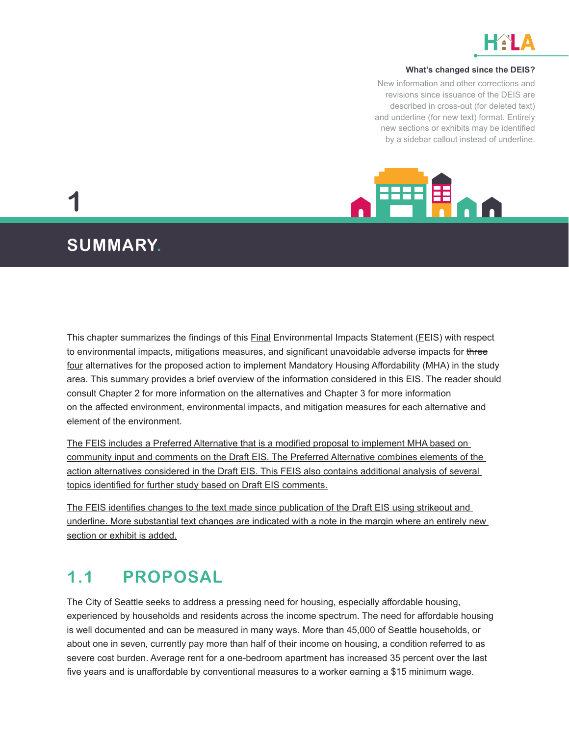

#### **What's changed since the DEIS?**

New information and other corrections and revisions since issuance of the DEIS are described in cross-out (for deleted text) and underline (for new text) format. Entirely new sections or exhibits may be identified by a sidebar callout instead of underline.



**1**

# **SUMMARY.**

This chapter summarizes the findings of this Final Environmental Impacts Statement (FEIS) with respect to environmental impacts, mitigations measures, and significant unavoidable adverse impacts for three four alternatives for the proposed action to implement Mandatory Housing Affordability (MHA) in the study area. This summary provides a brief overview of the information considered in this EIS. The reader should consult Chapter 2 for more information on the alternatives and Chapter 3 for more information on the affected environment, environmental impacts, and mitigation measures for each alternative and element of the environment.

The FEIS includes a Preferred Alternative that is a modified proposal to implement MHA based on community input and comments on the Draft EIS. The Preferred Alternative combines elements of the action alternatives considered in the Draft EIS. This FEIS also contains additional analysis of several topics identified for further study based on Draft EIS comments.

The FEIS identifies changes to the text made since publication of the Draft EIS using strikeout and underline. More substantial text changes are indicated with a note in the margin where an entirely new section or exhibit is added.

# **1.1 PROPOSAL**

The City of Seattle seeks to address a pressing need for housing, especially affordable housing, experienced by households and residents across the income spectrum. The need for affordable housing is well documented and can be measured in many ways. More than 45,000 of Seattle households, or about one in seven, currently pay more than half of their income on housing, a condition referred to as severe cost burden. Average rent for a one-bedroom apartment has increased 35 percent over the last five years and is unaffordable by conventional measures to a worker earning a \$15 minimum wage.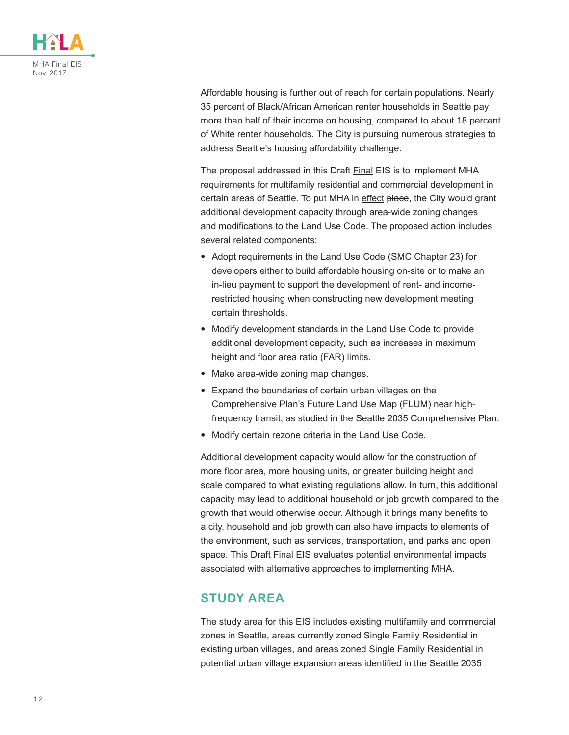

Affordable housing is further out of reach for certain populations. Nearly 35 percent of Black/African American renter households in Seattle pay more than half of their income on housing, compared to about 18 percent of White renter households. The City is pursuing numerous strategies to address Seattle's housing affordability challenge.

The proposal addressed in this **Draft Final EIS** is to implement MHA requirements for multifamily residential and commercial development in certain areas of Seattle. To put MHA in effect place, the City would grant additional development capacity through area-wide zoning changes and modifications to the Land Use Code. The proposed action includes several related components:

- Adopt requirements in the Land Use Code (SMC Chapter 23) for developers either to build affordable housing on-site or to make an in-lieu payment to support the development of rent- and incomerestricted housing when constructing new development meeting certain thresholds.
- Modify development standards in the Land Use Code to provide additional development capacity, such as increases in maximum height and floor area ratio (FAR) limits.
- Make area-wide zoning map changes.
- Expand the boundaries of certain urban villages on the Comprehensive Plan's Future Land Use Map (FLUM) near highfrequency transit, as studied in the Seattle 2035 Comprehensive Plan.
- Modify certain rezone criteria in the Land Use Code.

Additional development capacity would allow for the construction of more floor area, more housing units, or greater building height and scale compared to what existing regulations allow. In turn, this additional capacity may lead to additional household or job growth compared to the growth that would otherwise occur. Although it brings many benefits to a city, household and job growth can also have impacts to elements of the environment, such as services, transportation, and parks and open space. This **Draft Final EIS** evaluates potential environmental impacts associated with alternative approaches to implementing MHA.

#### **STUDY AREA**

The study area for this EIS includes existing multifamily and commercial zones in Seattle, areas currently zoned Single Family Residential in existing urban villages, and areas zoned Single Family Residential in potential urban village expansion areas identified in the Seattle 2035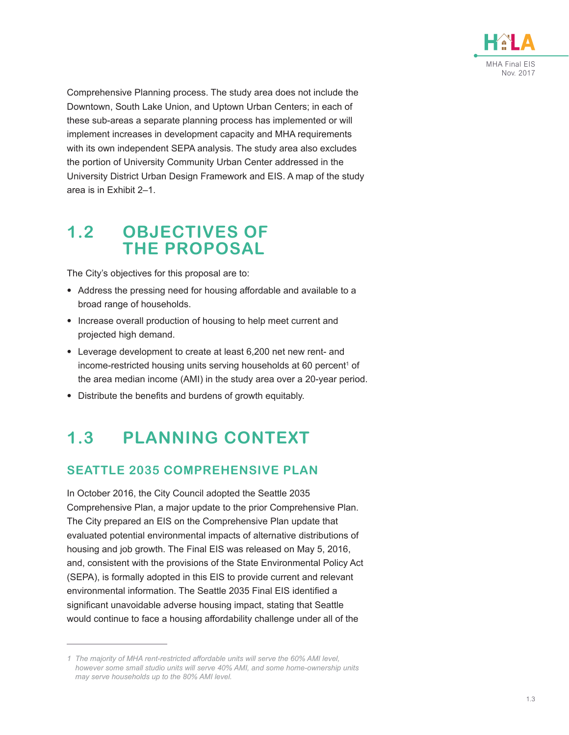

Comprehensive Planning process. The study area does not include the Downtown, South Lake Union, and Uptown Urban Centers; in each of these sub-areas a separate planning process has implemented or will implement increases in development capacity and MHA requirements with its own independent SEPA analysis. The study area also excludes the portion of University Community Urban Center addressed in the University District Urban Design Framework and EIS. A map of the study area is in Exhibit 2–1.

# **1.2 OBJECTIVES OF THE PROPOSAL**

The City's objectives for this proposal are to:

- Address the pressing need for housing affordable and available to a broad range of households.
- Increase overall production of housing to help meet current and projected high demand.
- Leverage development to create at least 6,200 net new rent- and income-restricted housing units serving households at 60 percent<sup>1</sup> of the area median income (AMI) in the study area over a 20-year period.
- Distribute the benefits and burdens of growth equitably.

# **1.3 PLANNING CONTEXT**

### **SEATTLE 2035 COMPREHENSIVE PLAN**

In October 2016, the City Council adopted the Seattle 2035 Comprehensive Plan, a major update to the prior Comprehensive Plan. The City prepared an EIS on the Comprehensive Plan update that evaluated potential environmental impacts of alternative distributions of housing and job growth. The Final EIS was released on May 5, 2016, and, consistent with the provisions of the State Environmental Policy Act (SEPA), is formally adopted in this EIS to provide current and relevant environmental information. The Seattle 2035 Final EIS identified a significant unavoidable adverse housing impact, stating that Seattle would continue to face a housing affordability challenge under all of the

*<sup>1</sup> The majority of MHA rent-restricted affordable units will serve the 60% AMI level, however some small studio units will serve 40% AMI, and some home-ownership units may serve households up to the 80% AMI level.*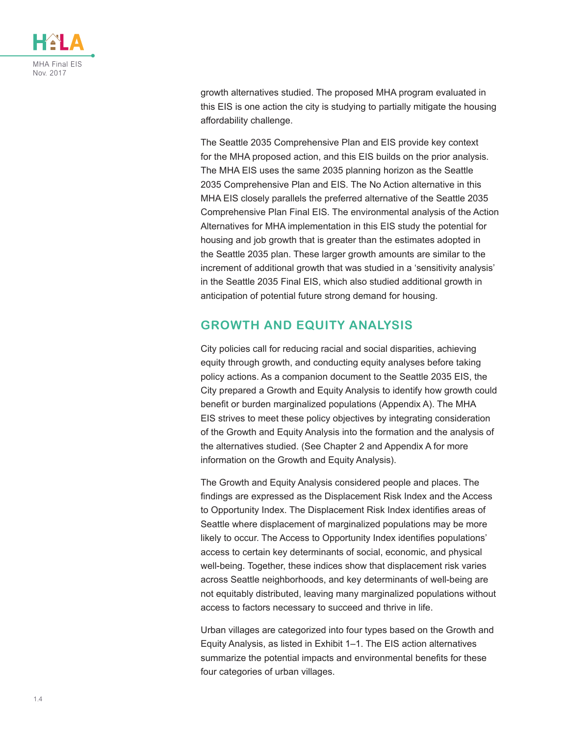

growth alternatives studied. The proposed MHA program evaluated in this EIS is one action the city is studying to partially mitigate the housing affordability challenge.

The Seattle 2035 Comprehensive Plan and EIS provide key context for the MHA proposed action, and this EIS builds on the prior analysis. The MHA EIS uses the same 2035 planning horizon as the Seattle 2035 Comprehensive Plan and EIS. The No Action alternative in this MHA EIS closely parallels the preferred alternative of the Seattle 2035 Comprehensive Plan Final EIS. The environmental analysis of the Action Alternatives for MHA implementation in this EIS study the potential for housing and job growth that is greater than the estimates adopted in the Seattle 2035 plan. These larger growth amounts are similar to the increment of additional growth that was studied in a 'sensitivity analysis' in the Seattle 2035 Final EIS, which also studied additional growth in anticipation of potential future strong demand for housing.

#### **GROWTH AND EQUITY ANALYSIS**

City policies call for reducing racial and social disparities, achieving equity through growth, and conducting equity analyses before taking policy actions. As a companion document to the Seattle 2035 EIS, the City prepared a Growth and Equity Analysis to identify how growth could benefit or burden marginalized populations (Appendix A). The MHA EIS strives to meet these policy objectives by integrating consideration of the Growth and Equity Analysis into the formation and the analysis of the alternatives studied. (See Chapter 2 and Appendix A for more information on the Growth and Equity Analysis).

The Growth and Equity Analysis considered people and places. The findings are expressed as the Displacement Risk Index and the Access to Opportunity Index. The Displacement Risk Index identifies areas of Seattle where displacement of marginalized populations may be more likely to occur. The Access to Opportunity Index identifies populations' access to certain key determinants of social, economic, and physical well-being. Together, these indices show that displacement risk varies across Seattle neighborhoods, and key determinants of well-being are not equitably distributed, leaving many marginalized populations without access to factors necessary to succeed and thrive in life.

Urban villages are categorized into four types based on the Growth and Equity Analysis, as listed in [Exhibit 1–1](#page-4-0). The EIS action alternatives summarize the potential impacts and environmental benefits for these four categories of urban villages.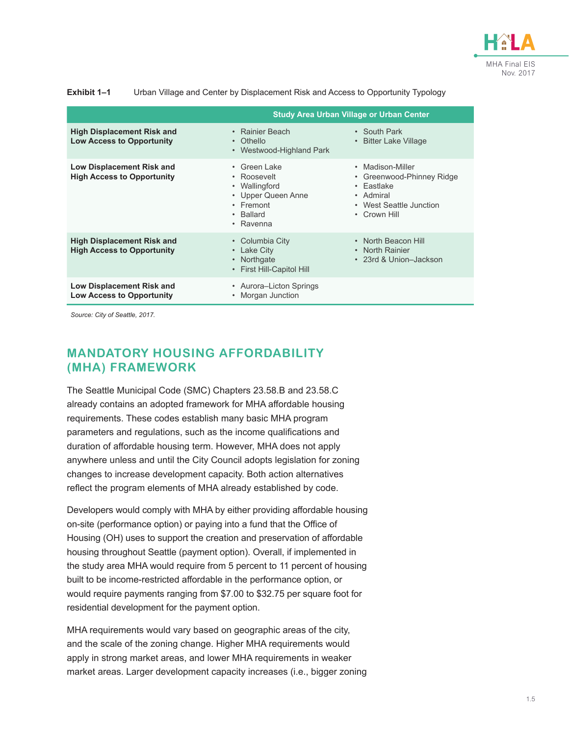

<span id="page-4-0"></span>

| Exhibit 1–1 | Urban Village and Center by Displacement Risk and Access to Opportunity Typology |  |
|-------------|----------------------------------------------------------------------------------|--|
|-------------|----------------------------------------------------------------------------------|--|

|                                                                        | <b>Study Area Urban Village or Urban Center</b>                                                                 |                                                                                                                                      |  |
|------------------------------------------------------------------------|-----------------------------------------------------------------------------------------------------------------|--------------------------------------------------------------------------------------------------------------------------------------|--|
| <b>High Displacement Risk and</b><br><b>Low Access to Opportunity</b>  | • Rainier Beach<br>Othello<br>$\bullet$<br>Westwood-Highland Park<br>$\bullet$                                  | • South Park<br><b>Bitter Lake Village</b><br>$\bullet$                                                                              |  |
| Low Displacement Risk and<br><b>High Access to Opportunity</b>         | • Green Lake<br>• Roosevelt<br>• Wallingford<br>• Upper Queen Anne<br>$\cdot$ Fremont<br>• Ballard<br>• Ravenna | • Madison-Miller<br>Greenwood-Phinney Ridge<br>$\bullet$<br>$\cdot$ Fastlake<br>• Admiral<br>• West Seattle Junction<br>• Crown Hill |  |
| <b>High Displacement Risk and</b><br><b>High Access to Opportunity</b> | • Columbia City<br>Lake City<br>$\bullet$<br>Northgate<br>$\bullet$<br>• First Hill-Capitol Hill                | • North Beacon Hill<br>• North Rainier<br>• 23rd & Union-Jackson                                                                     |  |
| Low Displacement Risk and<br><b>Low Access to Opportunity</b>          | • Aurora-Licton Springs<br>Morgan Junction                                                                      |                                                                                                                                      |  |

*Source: City of Seattle, 2017.*

### **MANDATORY HOUSING AFFORDABILITY (MHA) FRAMEWORK**

The Seattle Municipal Code (SMC) Chapters 23.58.B and 23.58.C already contains an adopted framework for MHA affordable housing requirements. These codes establish many basic MHA program parameters and regulations, such as the income qualifications and duration of affordable housing term. However, MHA does not apply anywhere unless and until the City Council adopts legislation for zoning changes to increase development capacity. Both action alternatives reflect the program elements of MHA already established by code.

Developers would comply with MHA by either providing affordable housing on-site (performance option) or paying into a fund that the Office of Housing (OH) uses to support the creation and preservation of affordable housing throughout Seattle (payment option). Overall, if implemented in the study area MHA would require from 5 percent to 11 percent of housing built to be income-restricted affordable in the performance option, or would require payments ranging from \$7.00 to \$32.75 per square foot for residential development for the payment option.

MHA requirements would vary based on geographic areas of the city, and the scale of the zoning change. Higher MHA requirements would apply in strong market areas, and lower MHA requirements in weaker market areas. Larger development capacity increases (i.e., bigger zoning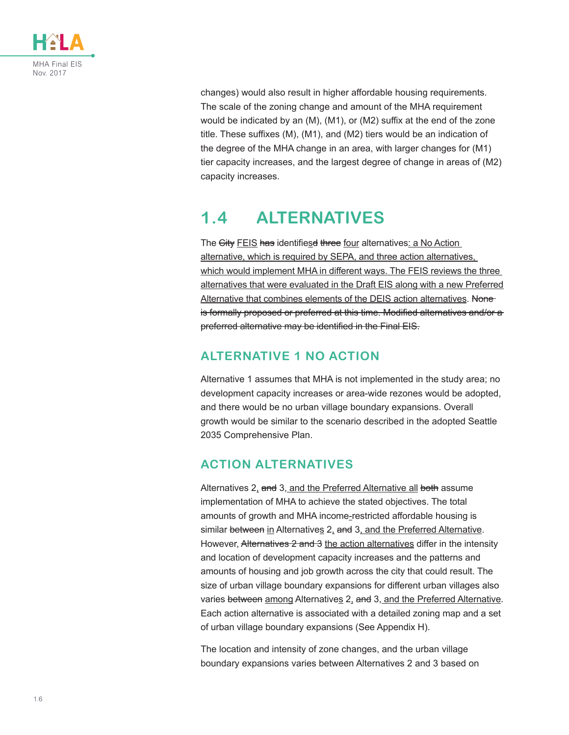

changes) would also result in higher affordable housing requirements. The scale of the zoning change and amount of the MHA requirement would be indicated by an (M), (M1), or (M2) suffix at the end of the zone title. These suffixes (M), (M1), and (M2) tiers would be an indication of the degree of the MHA change in an area, with larger changes for (M1) tier capacity increases, and the largest degree of change in areas of (M2) capacity increases.

# **1.4 ALTERNATIVES**

The City FEIS has identifiesd three four alternatives: a No Action alternative, which is required by SEPA, and three action alternatives, which would implement MHA in different ways. The FEIS reviews the three alternatives that were evaluated in the Draft EIS along with a new Preferred Alternative that combines elements of the DEIS action alternatives. Noneis formally proposed or preferred at this time. Modified alternatives and/or a preferred alternative may be identified in the Final EIS.

## **ALTERNATIVE 1 NO ACTION**

Alternative 1 assumes that MHA is not implemented in the study area; no development capacity increases or area-wide rezones would be adopted, and there would be no urban village boundary expansions. Overall growth would be similar to the scenario described in the adopted Seattle 2035 Comprehensive Plan.

## **ACTION ALTERNATIVES**

Alternatives 2, and 3, and the Preferred Alternative all both assume implementation of MHA to achieve the stated objectives. The total amounts of growth and MHA income-restricted affordable housing is similar between in Alternatives 2, and 3, and the Preferred Alternative. However, Alternatives 2 and 3 the action alternatives differ in the intensity and location of development capacity increases and the patterns and amounts of housing and job growth across the city that could result. The size of urban village boundary expansions for different urban villages also varies between among Alternatives 2, and 3, and the Preferred Alternative. Each action alternative is associated with a detailed zoning map and a set of urban village boundary expansions (See Appendix H).

The location and intensity of zone changes, and the urban village boundary expansions varies between Alternatives 2 and 3 based on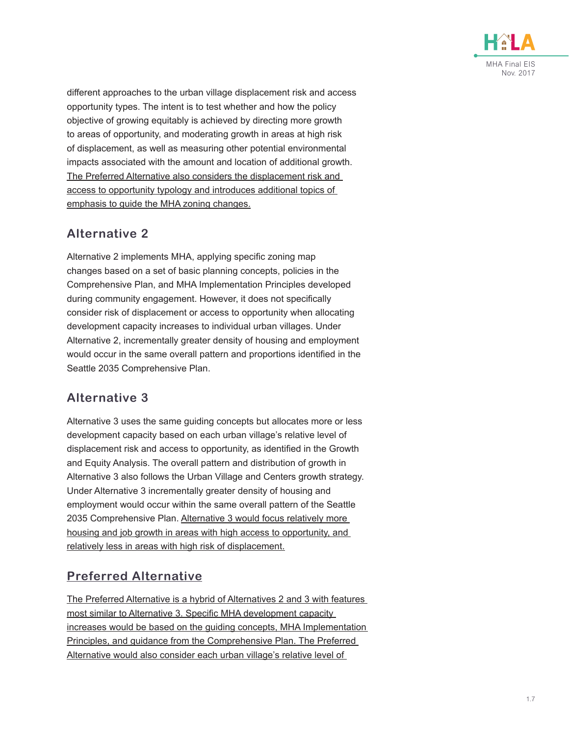

different approaches to the urban village displacement risk and access opportunity types. The intent is to test whether and how the policy objective of growing equitably is achieved by directing more growth to areas of opportunity, and moderating growth in areas at high risk of displacement, as well as measuring other potential environmental impacts associated with the amount and location of additional growth. The Preferred Alternative also considers the displacement risk and access to opportunity typology and introduces additional topics of emphasis to guide the MHA zoning changes.

## **Alternative 2**

Alternative 2 implements MHA, applying specific zoning map changes based on a set of basic planning concepts, policies in the Comprehensive Plan, and MHA Implementation Principles developed during community engagement. However, it does not specifically consider risk of displacement or access to opportunity when allocating development capacity increases to individual urban villages. Under Alternative 2, incrementally greater density of housing and employment would occur in the same overall pattern and proportions identified in the Seattle 2035 Comprehensive Plan.

## **Alternative 3**

Alternative 3 uses the same guiding concepts but allocates more or less development capacity based on each urban village's relative level of displacement risk and access to opportunity, as identified in the Growth and Equity Analysis. The overall pattern and distribution of growth in Alternative 3 also follows the Urban Village and Centers growth strategy. Under Alternative 3 incrementally greater density of housing and employment would occur within the same overall pattern of the Seattle 2035 Comprehensive Plan. Alternative 3 would focus relatively more housing and job growth in areas with high access to opportunity, and relatively less in areas with high risk of displacement.

## **Preferred Alternative**

The Preferred Alternative is a hybrid of Alternatives 2 and 3 with features most similar to Alternative 3. Specific MHA development capacity increases would be based on the guiding concepts, MHA Implementation Principles, and guidance from the Comprehensive Plan. The Preferred Alternative would also consider each urban village's relative level of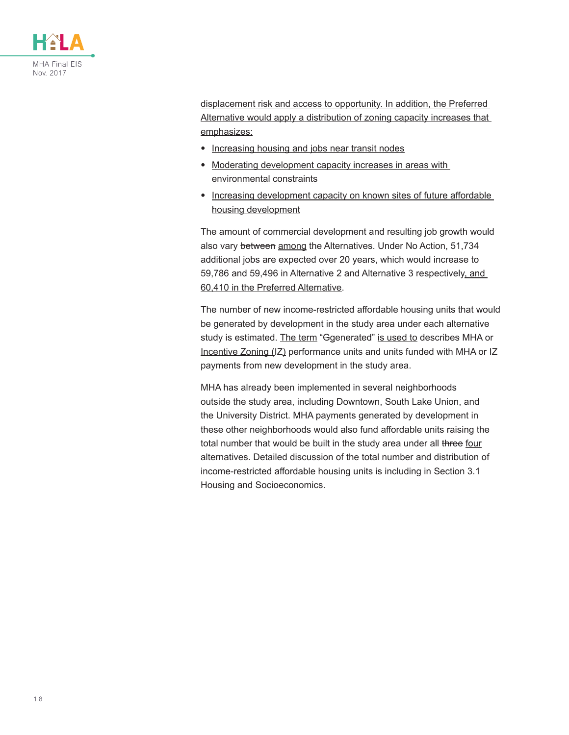

displacement risk and access to opportunity. In addition, the Preferred Alternative would apply a distribution of zoning capacity increases that emphasizes:

- Increasing housing and jobs near transit nodes
- Moderating development capacity increases in areas with environmental constraints
- Increasing development capacity on known sites of future affordable housing development

The amount of commercial development and resulting job growth would also vary between among the Alternatives. Under No Action, 51,734 additional jobs are expected over 20 years, which would increase to 59,786 and 59,496 in Alternative 2 and Alternative 3 respectively, and 60,410 in the Preferred Alternative.

The number of new income-restricted affordable housing units that would be generated by development in the study area under each alternative study is estimated. The term "Ggenerated" is used to describes MHA or Incentive Zoning (IZ) performance units and units funded with MHA or IZ payments from new development in the study area.

MHA has already been implemented in several neighborhoods outside the study area, including Downtown, South Lake Union, and the University District. MHA payments generated by development in these other neighborhoods would also fund affordable units raising the total number that would be built in the study area under all three four alternatives. Detailed discussion of the total number and distribution of income-restricted affordable housing units is including in Section 3.1 Housing and Socioeconomics.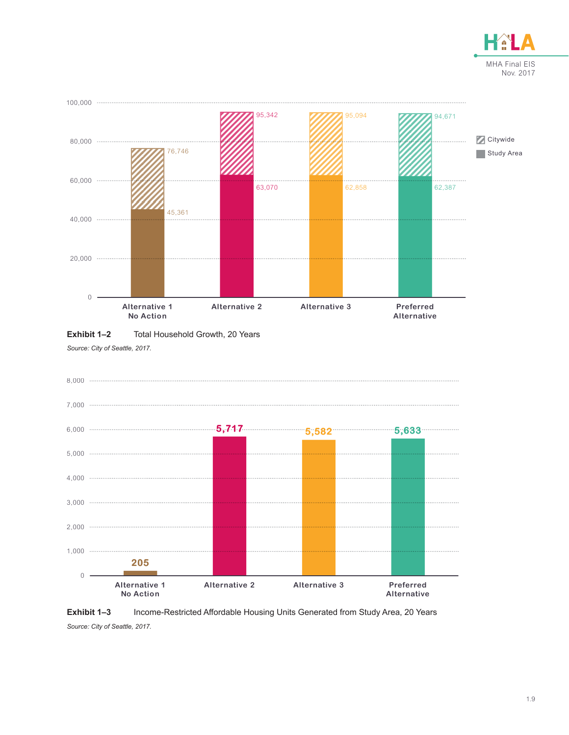





*Source: City of Seattle, 2017.*



**Exhibit 1–3** Income-Restricted Affordable Housing Units Generated from Study Area, 20 Years *Source: City of Seattle, 2017.*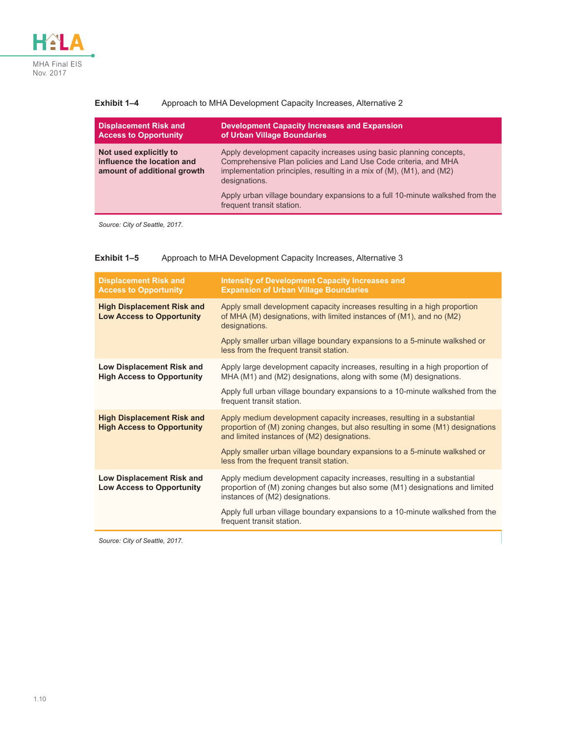

| Displacement Risk and<br><b>Access to Opportunity</b>                               | <b>Development Capacity Increases and Expansion</b><br>of Urban Village Boundaries                                                                                                                                              |
|-------------------------------------------------------------------------------------|---------------------------------------------------------------------------------------------------------------------------------------------------------------------------------------------------------------------------------|
| Not used explicitly to<br>influence the location and<br>amount of additional growth | Apply development capacity increases using basic planning concepts,<br>Comprehensive Plan policies and Land Use Code criteria, and MHA<br>implementation principles, resulting in a mix of (M), (M1), and (M2)<br>designations. |

Apply urban village boundary expansions to a full 10-minute walkshed from the

#### **Exhibit 1–4** Approach to MHA Development Capacity Increases, Alternative 2

*Source: City of Seattle, 2017.*

| Exhibit 1–5 |  |  | Approach to MHA Development Capacity Increases, Alternative 3 |
|-------------|--|--|---------------------------------------------------------------|
|-------------|--|--|---------------------------------------------------------------|

frequent transit station.

| <b>Displacement Risk and</b><br><b>Access to Opportunity</b>           | <b>Intensity of Development Capacity Increases and</b><br><b>Expansion of Urban Village Boundaries</b>                                                                                                   |  |
|------------------------------------------------------------------------|----------------------------------------------------------------------------------------------------------------------------------------------------------------------------------------------------------|--|
| <b>High Displacement Risk and</b><br><b>Low Access to Opportunity</b>  | Apply small development capacity increases resulting in a high proportion<br>of MHA (M) designations, with limited instances of (M1), and no (M2)<br>designations.                                       |  |
|                                                                        | Apply smaller urban village boundary expansions to a 5-minute walkshed or<br>less from the frequent transit station.                                                                                     |  |
| <b>Low Displacement Risk and</b><br><b>High Access to Opportunity</b>  | Apply large development capacity increases, resulting in a high proportion of<br>MHA (M1) and (M2) designations, along with some (M) designations.                                                       |  |
|                                                                        | Apply full urban village boundary expansions to a 10-minute walkshed from the<br>frequent transit station.                                                                                               |  |
| <b>High Displacement Risk and</b><br><b>High Access to Opportunity</b> | Apply medium development capacity increases, resulting in a substantial<br>proportion of (M) zoning changes, but also resulting in some (M1) designations<br>and limited instances of (M2) designations. |  |
|                                                                        | Apply smaller urban village boundary expansions to a 5-minute walkshed or<br>less from the frequent transit station.                                                                                     |  |
| <b>Low Displacement Risk and</b><br><b>Low Access to Opportunity</b>   | Apply medium development capacity increases, resulting in a substantial<br>proportion of (M) zoning changes but also some (M1) designations and limited<br>instances of (M2) designations.               |  |
|                                                                        | Apply full urban village boundary expansions to a 10-minute walkshed from the<br>frequent transit station.                                                                                               |  |

*Source: City of Seattle, 2017.*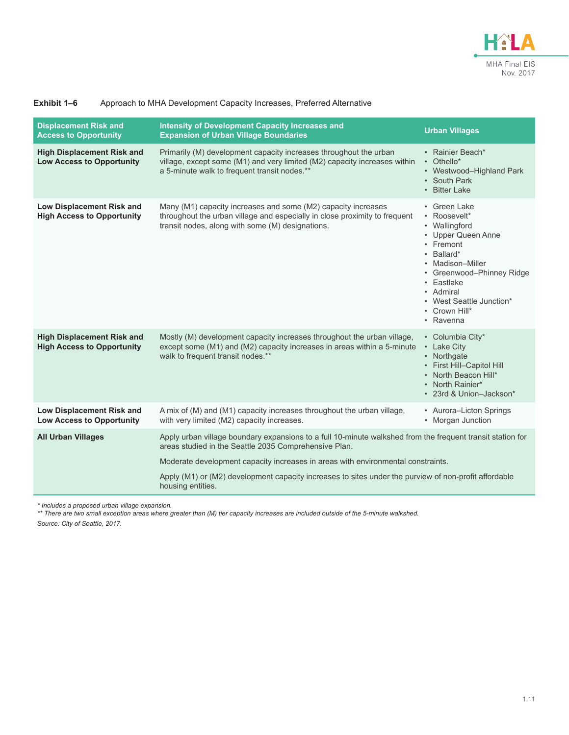

| Exhibit 1–6 | Approach to MHA Development Capacity Increases, Preferred Alternative |  |  |  |  |  |
|-------------|-----------------------------------------------------------------------|--|--|--|--|--|
|-------------|-----------------------------------------------------------------------|--|--|--|--|--|

| <b>Displacement Risk and</b><br><b>Access to Opportunity</b>                                                                                                                                                                                                      | <b>Intensity of Development Capacity Increases and</b><br><b>Expansion of Urban Village Boundaries</b>                                                                                          | <b>Urban Villages</b>                                                                                                                                                                                                                |  |  |
|-------------------------------------------------------------------------------------------------------------------------------------------------------------------------------------------------------------------------------------------------------------------|-------------------------------------------------------------------------------------------------------------------------------------------------------------------------------------------------|--------------------------------------------------------------------------------------------------------------------------------------------------------------------------------------------------------------------------------------|--|--|
| <b>High Displacement Risk and</b><br><b>Low Access to Opportunity</b>                                                                                                                                                                                             | Primarily (M) development capacity increases throughout the urban<br>village, except some (M1) and very limited (M2) capacity increases within<br>a 5-minute walk to frequent transit nodes.**  | • Rainier Beach*<br>• Othello*<br>• Westwood-Highland Park<br>• South Park<br>• Bitter Lake                                                                                                                                          |  |  |
| Low Displacement Risk and<br><b>High Access to Opportunity</b>                                                                                                                                                                                                    | Many (M1) capacity increases and some (M2) capacity increases<br>throughout the urban village and especially in close proximity to frequent<br>transit nodes, along with some (M) designations. | • Green Lake<br>• Roosevelt*<br>• Wallingford<br>• Upper Queen Anne<br>• Fremont<br>• Ballard*<br>• Madison-Miller<br>• Greenwood-Phinney Ridge<br>• Eastlake<br>• Admiral<br>• West Seattle Junction*<br>• Crown Hill*<br>• Ravenna |  |  |
| Mostly (M) development capacity increases throughout the urban village,<br><b>High Displacement Risk and</b><br><b>High Access to Opportunity</b><br>except some (M1) and (M2) capacity increases in areas within a 5-minute<br>walk to frequent transit nodes.** |                                                                                                                                                                                                 | • Columbia City*<br>• Lake City<br>• Northgate<br>• First Hill-Capitol Hill<br>• North Beacon Hill*<br>• North Rainier*<br>• 23rd & Union-Jackson*                                                                                   |  |  |
| <b>Low Displacement Risk and</b><br><b>Low Access to Opportunity</b>                                                                                                                                                                                              | A mix of (M) and (M1) capacity increases throughout the urban village,<br>• Aurora-Licton Springs<br>• Morgan Junction<br>with very limited (M2) capacity increases.                            |                                                                                                                                                                                                                                      |  |  |
| <b>All Urban Villages</b>                                                                                                                                                                                                                                         | Apply urban village boundary expansions to a full 10-minute walkshed from the frequent transit station for<br>areas studied in the Seattle 2035 Comprehensive Plan.                             |                                                                                                                                                                                                                                      |  |  |
|                                                                                                                                                                                                                                                                   | Moderate development capacity increases in areas with environmental constraints.                                                                                                                |                                                                                                                                                                                                                                      |  |  |
|                                                                                                                                                                                                                                                                   | Apply (M1) or (M2) development capacity increases to sites under the purview of non-profit affordable<br>housing entities.                                                                      |                                                                                                                                                                                                                                      |  |  |

*\* Includes a proposed urban village expansion.*

\*\* There are two small exception areas where greater than (M) tier capacity increases are included outside of the 5-minute walkshed.

*Source: City of Seattle, 2017.*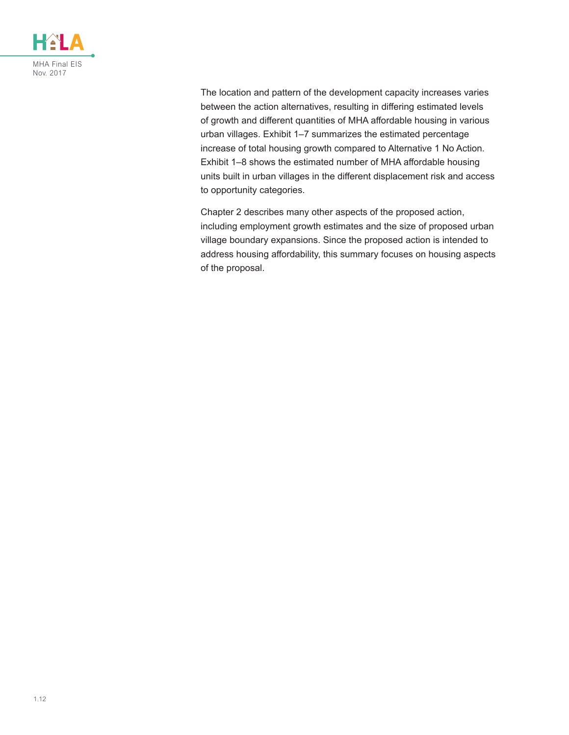

The location and pattern of the development capacity increases varies between the action alternatives, resulting in differing estimated levels of growth and different quantities of MHA affordable housing in various urban villages. [Exhibit 1–7](#page-12-0) summarizes the estimated percentage increase of total housing growth compared to Alternative 1 No Action. [Exhibit 1–8](#page-12-1) shows the estimated number of MHA affordable housing units built in urban villages in the different displacement risk and access to opportunity categories.

Chapter 2 describes many other aspects of the proposed action, including employment growth estimates and the size of proposed urban village boundary expansions. Since the proposed action is intended to address housing affordability, this summary focuses on housing aspects of the proposal.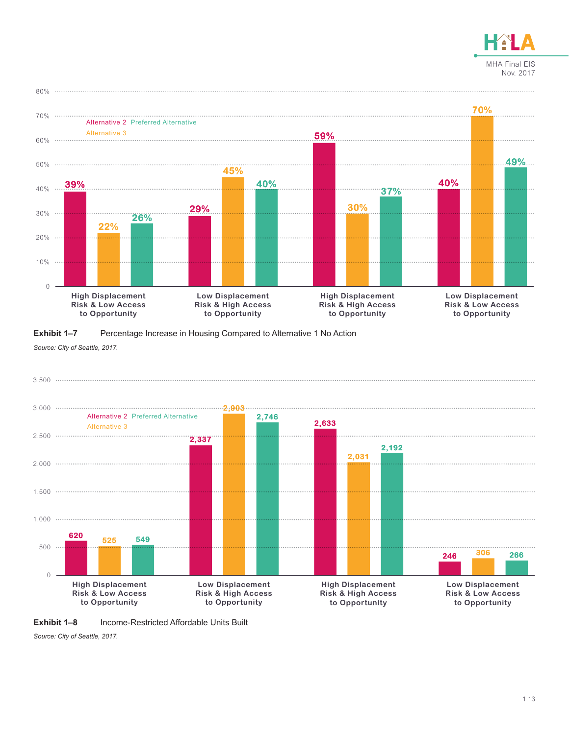



<span id="page-12-0"></span>**Exhibit 1–7** Percentage Increase in Housing Compared to Alternative 1 No Action *Source: City of Seattle, 2017.*

![](_page_12_Figure_3.jpeg)

<span id="page-12-1"></span>![](_page_12_Figure_4.jpeg)

*Source: City of Seattle, 2017.*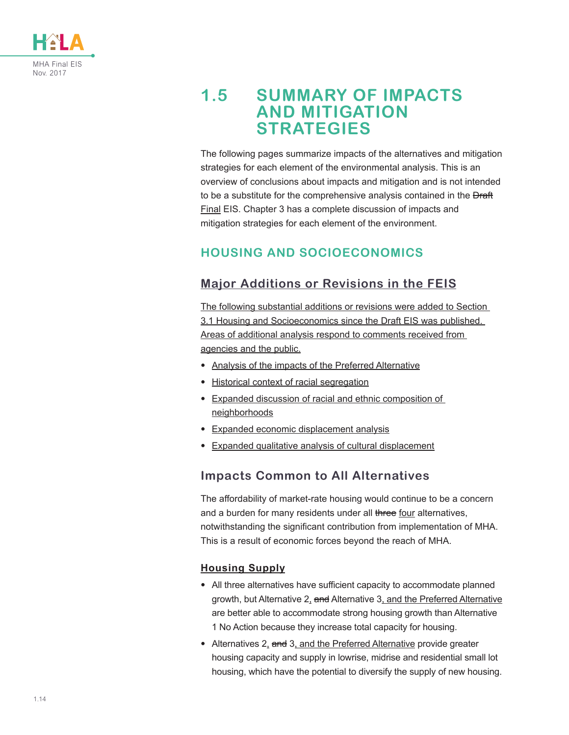![](_page_13_Picture_0.jpeg)

# **1.5 SUMMARY OF IMPACTS AND MITIGATION STRATEGIES**

The following pages summarize impacts of the alternatives and mitigation strategies for each element of the environmental analysis. This is an overview of conclusions about impacts and mitigation and is not intended to be a substitute for the comprehensive analysis contained in the **Draft** Final EIS. Chapter 3 has a complete discussion of impacts and mitigation strategies for each element of the environment.

## **HOUSING AND SOCIOECONOMICS**

## **Major Additions or Revisions in the FEIS**

The following substantial additions or revisions were added to Section 3.1 Housing and Socioeconomics since the Draft EIS was published. Areas of additional analysis respond to comments received from agencies and the public.

- Analysis of the impacts of the Preferred Alternative
- Historical context of racial segregation
- Expanded discussion of racial and ethnic composition of neighborhoods
- Expanded economic displacement analysis
- Expanded qualitative analysis of cultural displacement

### **Impacts Common to All Alternatives**

The affordability of market-rate housing would continue to be a concern and a burden for many residents under all three four alternatives, notwithstanding the significant contribution from implementation of MHA. This is a result of economic forces beyond the reach of MHA.

#### **Housing Supply**

- All three alternatives have sufficient capacity to accommodate planned growth, but Alternative 2, and Alternative 3, and the Preferred Alternative are better able to accommodate strong housing growth than Alternative 1 No Action because they increase total capacity for housing.
- Alternatives 2, and 3, and the Preferred Alternative provide greater housing capacity and supply in lowrise, midrise and residential small lot housing, which have the potential to diversify the supply of new housing.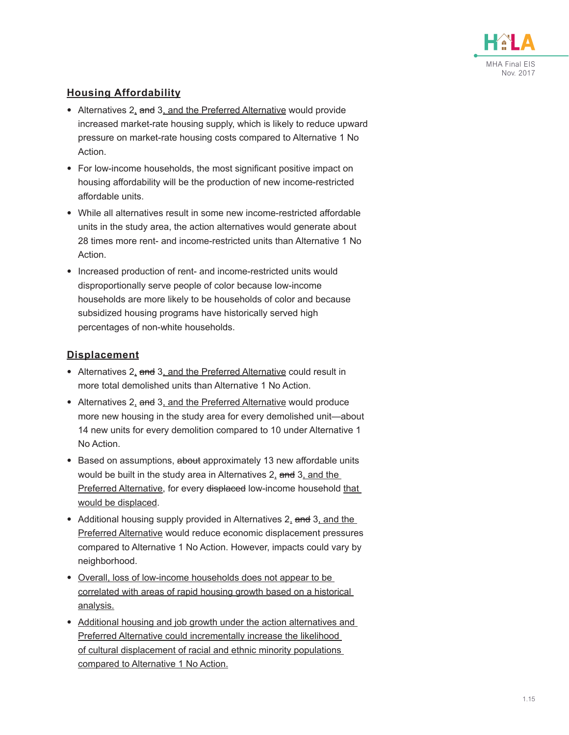![](_page_14_Picture_0.jpeg)

#### **Housing Affordability**

- Alternatives 2, and 3, and the Preferred Alternative would provide increased market-rate housing supply, which is likely to reduce upward pressure on market-rate housing costs compared to Alternative 1 No Action.
- For low-income households, the most significant positive impact on housing affordability will be the production of new income-restricted affordable units.
- While all alternatives result in some new income-restricted affordable units in the study area, the action alternatives would generate about 28 times more rent- and income-restricted units than Alternative 1 No Action.
- Increased production of rent- and income-restricted units would disproportionally serve people of color because low-income households are more likely to be households of color and because subsidized housing programs have historically served high percentages of non-white households.

#### **Displacement**

- Alternatives 2, and 3, and the Preferred Alternative could result in more total demolished units than Alternative 1 No Action.
- Alternatives 2, and 3, and the Preferred Alternative would produce more new housing in the study area for every demolished unit—about 14 new units for every demolition compared to 10 under Alternative 1 No Action.
- Based on assumptions, about approximately 13 new affordable units would be built in the study area in Alternatives  $2<sub>1</sub>$  and  $3<sub>1</sub>$  and the Preferred Alternative, for every displaced low-income household that would be displaced.
- Additional housing supply provided in Alternatives 2, and 3, and the Preferred Alternative would reduce economic displacement pressures compared to Alternative 1 No Action. However, impacts could vary by neighborhood.
- Overall, loss of low-income households does not appear to be correlated with areas of rapid housing growth based on a historical analysis.
- Additional housing and job growth under the action alternatives and Preferred Alternative could incrementally increase the likelihood of cultural displacement of racial and ethnic minority populations compared to Alternative 1 No Action.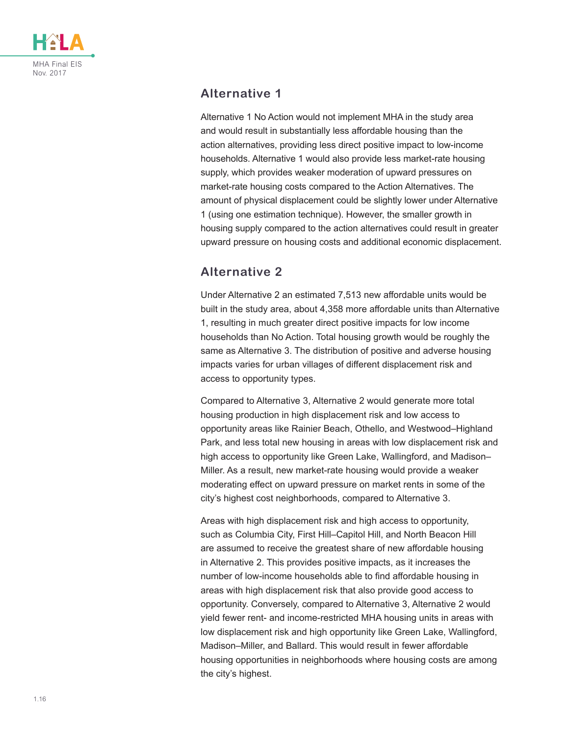![](_page_15_Picture_0.jpeg)

### **Alternative 1**

Alternative 1 No Action would not implement MHA in the study area and would result in substantially less affordable housing than the action alternatives, providing less direct positive impact to low-income households. Alternative 1 would also provide less market-rate housing supply, which provides weaker moderation of upward pressures on market-rate housing costs compared to the Action Alternatives. The amount of physical displacement could be slightly lower under Alternative 1 (using one estimation technique). However, the smaller growth in housing supply compared to the action alternatives could result in greater upward pressure on housing costs and additional economic displacement.

## **Alternative 2**

Under Alternative 2 an estimated 7,513 new affordable units would be built in the study area, about 4,358 more affordable units than Alternative 1, resulting in much greater direct positive impacts for low income households than No Action. Total housing growth would be roughly the same as Alternative 3. The distribution of positive and adverse housing impacts varies for urban villages of different displacement risk and access to opportunity types.

Compared to Alternative 3, Alternative 2 would generate more total housing production in high displacement risk and low access to opportunity areas like Rainier Beach, Othello, and Westwood–Highland Park, and less total new housing in areas with low displacement risk and high access to opportunity like Green Lake, Wallingford, and Madison– Miller. As a result, new market-rate housing would provide a weaker moderating effect on upward pressure on market rents in some of the city's highest cost neighborhoods, compared to Alternative 3.

Areas with high displacement risk and high access to opportunity, such as Columbia City, First Hill–Capitol Hill, and North Beacon Hill are assumed to receive the greatest share of new affordable housing in Alternative 2. This provides positive impacts, as it increases the number of low-income households able to find affordable housing in areas with high displacement risk that also provide good access to opportunity. Conversely, compared to Alternative 3, Alternative 2 would yield fewer rent- and income-restricted MHA housing units in areas with low displacement risk and high opportunity like Green Lake, Wallingford, Madison–Miller, and Ballard. This would result in fewer affordable housing opportunities in neighborhoods where housing costs are among the city's highest.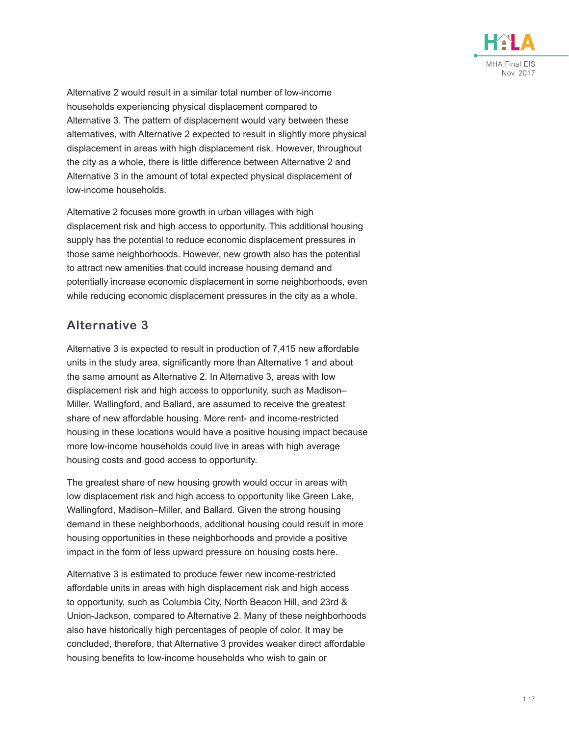![](_page_16_Picture_0.jpeg)

Alternative 2 would result in a similar total number of low-income households experiencing physical displacement compared to Alternative 3. The pattern of displacement would vary between these alternatives, with Alternative 2 expected to result in slightly more physical displacement in areas with high displacement risk. However, throughout the city as a whole, there is little difference between Alternative 2 and Alternative 3 in the amount of total expected physical displacement of low-income households.

Alternative 2 focuses more growth in urban villages with high displacement risk and high access to opportunity. This additional housing supply has the potential to reduce economic displacement pressures in those same neighborhoods. However, new growth also has the potential to attract new amenities that could increase housing demand and potentially increase economic displacement in some neighborhoods, even while reducing economic displacement pressures in the city as a whole.

### **Alternative 3**

Alternative 3 is expected to result in production of 7,415 new affordable units in the study area, significantly more than Alternative 1 and about the same amount as Alternative 2. In Alternative 3, areas with low displacement risk and high access to opportunity, such as Madison– Miller, Wallingford, and Ballard, are assumed to receive the greatest share of new affordable housing. More rent- and income-restricted housing in these locations would have a positive housing impact because more low-income households could live in areas with high average housing costs and good access to opportunity.

The greatest share of new housing growth would occur in areas with low displacement risk and high access to opportunity like Green Lake, Wallingford, Madison–Miller, and Ballard. Given the strong housing demand in these neighborhoods, additional housing could result in more housing opportunities in these neighborhoods and provide a positive impact in the form of less upward pressure on housing costs here.

Alternative 3 is estimated to produce fewer new income-restricted affordable units in areas with high displacement risk and high access to opportunity, such as Columbia City, North Beacon Hill, and 23rd & Union-Jackson, compared to Alternative 2. Many of these neighborhoods also have historically high percentages of people of color. It may be concluded, therefore, that Alternative 3 provides weaker direct affordable housing benefits to low-income households who wish to gain or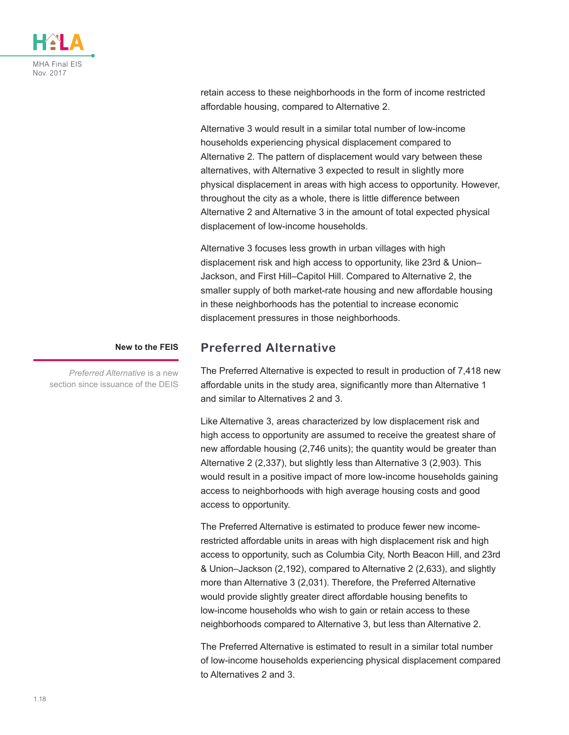![](_page_17_Picture_0.jpeg)

retain access to these neighborhoods in the form of income restricted affordable housing, compared to Alternative 2.

Alternative 3 would result in a similar total number of low-income households experiencing physical displacement compared to Alternative 2. The pattern of displacement would vary between these alternatives, with Alternative 3 expected to result in slightly more physical displacement in areas with high access to opportunity. However, throughout the city as a whole, there is little difference between Alternative 2 and Alternative 3 in the amount of total expected physical displacement of low-income households.

Alternative 3 focuses less growth in urban villages with high displacement risk and high access to opportunity, like 23rd & Union– Jackson, and First Hill–Capitol Hill. Compared to Alternative 2, the smaller supply of both market-rate housing and new affordable housing in these neighborhoods has the potential to increase economic displacement pressures in those neighborhoods.

#### **New to the FEIS**

*Preferred Alternative* is a new section since issuance of the DEIS

### **Preferred Alternative**

The Preferred Alternative is expected to result in production of 7,418 new affordable units in the study area, significantly more than Alternative 1 and similar to Alternatives 2 and 3.

Like Alternative 3, areas characterized by low displacement risk and high access to opportunity are assumed to receive the greatest share of new affordable housing (2,746 units); the quantity would be greater than Alternative 2 (2,337), but slightly less than Alternative 3 (2,903). This would result in a positive impact of more low-income households gaining access to neighborhoods with high average housing costs and good access to opportunity.

The Preferred Alternative is estimated to produce fewer new incomerestricted affordable units in areas with high displacement risk and high access to opportunity, such as Columbia City, North Beacon Hill, and 23rd & Union–Jackson (2,192), compared to Alternative 2 (2,633), and slightly more than Alternative 3 (2,031). Therefore, the Preferred Alternative would provide slightly greater direct affordable housing benefits to low-income households who wish to gain or retain access to these neighborhoods compared to Alternative 3, but less than Alternative 2.

The Preferred Alternative is estimated to result in a similar total number of low-income households experiencing physical displacement compared to Alternatives 2 and 3.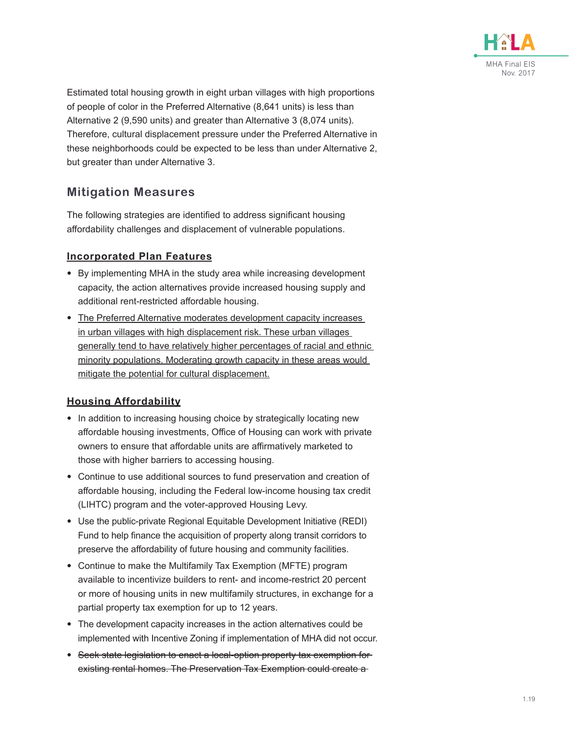![](_page_18_Picture_0.jpeg)

Estimated total housing growth in eight urban villages with high proportions of people of color in the Preferred Alternative (8,641 units) is less than Alternative 2 (9,590 units) and greater than Alternative 3 (8,074 units). Therefore, cultural displacement pressure under the Preferred Alternative in these neighborhoods could be expected to be less than under Alternative 2, but greater than under Alternative 3.

### **Mitigation Measures**

The following strategies are identified to address significant housing affordability challenges and displacement of vulnerable populations.

#### **Incorporated Plan Features**

- By implementing MHA in the study area while increasing development capacity, the action alternatives provide increased housing supply and additional rent-restricted affordable housing.
- The Preferred Alternative moderates development capacity increases in urban villages with high displacement risk. These urban villages generally tend to have relatively higher percentages of racial and ethnic minority populations. Moderating growth capacity in these areas would mitigate the potential for cultural displacement.

#### **Housing Affordability**

- In addition to increasing housing choice by strategically locating new affordable housing investments, Office of Housing can work with private owners to ensure that affordable units are affirmatively marketed to those with higher barriers to accessing housing.
- Continue to use additional sources to fund preservation and creation of affordable housing, including the Federal low-income housing tax credit (LIHTC) program and the voter-approved Housing Levy.
- Use the public-private Regional Equitable Development Initiative (REDI) Fund to help finance the acquisition of property along transit corridors to preserve the affordability of future housing and community facilities.
- Continue to make the Multifamily Tax Exemption (MFTE) program available to incentivize builders to rent- and income-restrict 20 percent or more of housing units in new multifamily structures, in exchange for a partial property tax exemption for up to 12 years.
- The development capacity increases in the action alternatives could be implemented with Incentive Zoning if implementation of MHA did not occur.
- Seek state legislation to enact a local-option property tax exemption for existing rental homes. The Preservation Tax Exemption could create a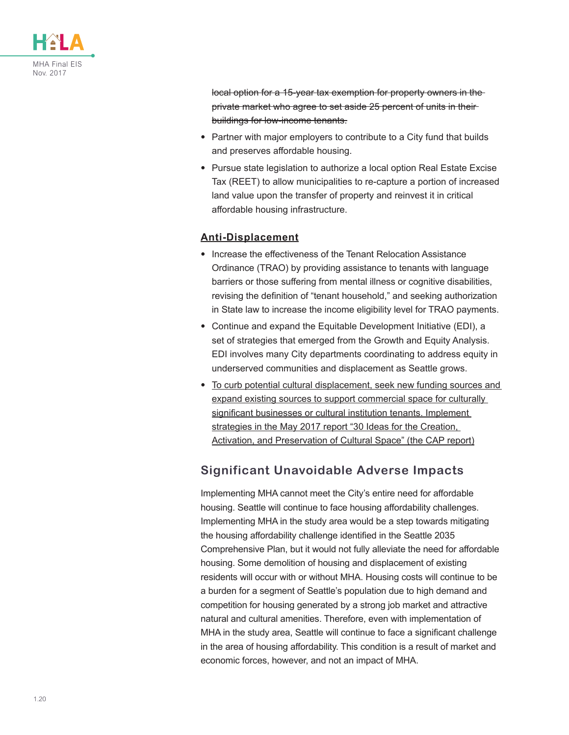![](_page_19_Picture_0.jpeg)

local option for a 15-year tax exemption for property owners in the private market who agree to set aside 25 percent of units in their buildings for low-income tenants.

- Partner with major employers to contribute to a City fund that builds and preserves affordable housing.
- Pursue state legislation to authorize a local option Real Estate Excise Tax (REET) to allow municipalities to re-capture a portion of increased land value upon the transfer of property and reinvest it in critical affordable housing infrastructure.

#### **Anti-Displacement**

- Increase the effectiveness of the Tenant Relocation Assistance Ordinance (TRAO) by providing assistance to tenants with language barriers or those suffering from mental illness or cognitive disabilities, revising the definition of "tenant household," and seeking authorization in State law to increase the income eligibility level for TRAO payments.
- Continue and expand the Equitable Development Initiative (EDI), a set of strategies that emerged from the Growth and Equity Analysis. EDI involves many City departments coordinating to address equity in underserved communities and displacement as Seattle grows.
- To curb potential cultural displacement, seek new funding sources and expand existing sources to support commercial space for culturally significant businesses or cultural institution tenants. Implement strategies in the May 2017 report "30 Ideas for the Creation, Activation, and Preservation of Cultural Space" (the CAP report)

### **Significant Unavoidable Adverse Impacts**

Implementing MHA cannot meet the City's entire need for affordable housing. Seattle will continue to face housing affordability challenges. Implementing MHA in the study area would be a step towards mitigating the housing affordability challenge identified in the Seattle 2035 Comprehensive Plan, but it would not fully alleviate the need for affordable housing. Some demolition of housing and displacement of existing residents will occur with or without MHA. Housing costs will continue to be a burden for a segment of Seattle's population due to high demand and competition for housing generated by a strong job market and attractive natural and cultural amenities. Therefore, even with implementation of MHA in the study area, Seattle will continue to face a significant challenge in the area of housing affordability. This condition is a result of market and economic forces, however, and not an impact of MHA.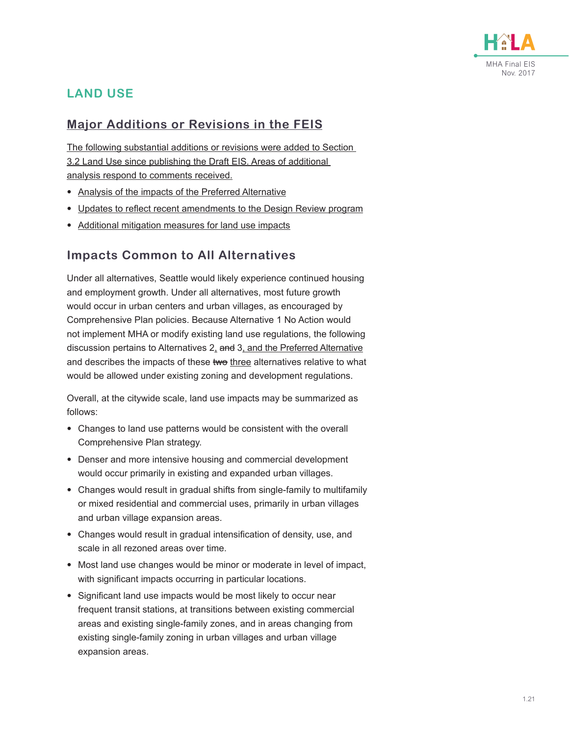![](_page_20_Picture_0.jpeg)

## **LAND USE**

### **Major Additions or Revisions in the FEIS**

The following substantial additions or revisions were added to Section 3.2 Land Use since publishing the Draft EIS. Areas of additional analysis respond to comments received.

- Analysis of the impacts of the Preferred Alternative
- Updates to reflect recent amendments to the Design Review program
- Additional mitigation measures for land use impacts

### **Impacts Common to All Alternatives**

Under all alternatives, Seattle would likely experience continued housing and employment growth. Under all alternatives, most future growth would occur in urban centers and urban villages, as encouraged by Comprehensive Plan policies. Because Alternative 1 No Action would not implement MHA or modify existing land use regulations, the following discussion pertains to Alternatives 2, and 3, and the Preferred Alternative and describes the impacts of these two three alternatives relative to what would be allowed under existing zoning and development regulations.

Overall, at the citywide scale, land use impacts may be summarized as follows:

- Changes to land use patterns would be consistent with the overall Comprehensive Plan strategy.
- Denser and more intensive housing and commercial development would occur primarily in existing and expanded urban villages.
- Changes would result in gradual shifts from single-family to multifamily or mixed residential and commercial uses, primarily in urban villages and urban village expansion areas.
- Changes would result in gradual intensification of density, use, and scale in all rezoned areas over time.
- Most land use changes would be minor or moderate in level of impact, with significant impacts occurring in particular locations.
- Significant land use impacts would be most likely to occur near frequent transit stations, at transitions between existing commercial areas and existing single-family zones, and in areas changing from existing single-family zoning in urban villages and urban village expansion areas.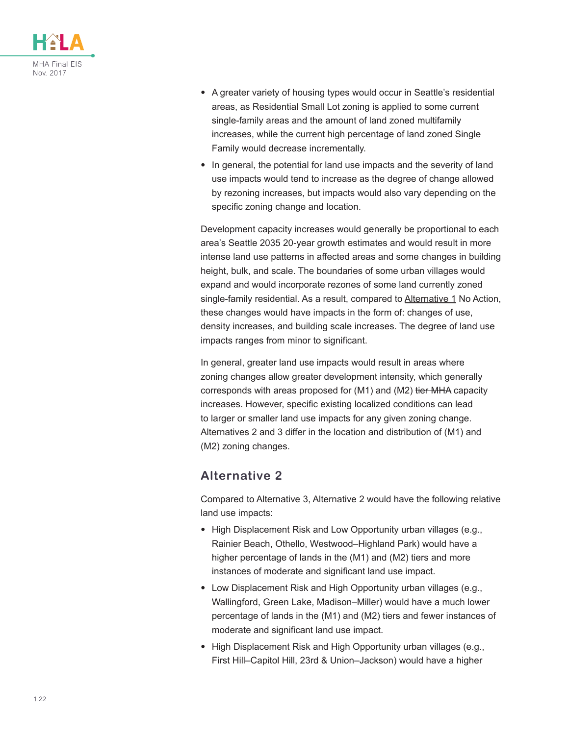![](_page_21_Picture_0.jpeg)

- A greater variety of housing types would occur in Seattle's residential areas, as Residential Small Lot zoning is applied to some current single-family areas and the amount of land zoned multifamily increases, while the current high percentage of land zoned Single Family would decrease incrementally.
- In general, the potential for land use impacts and the severity of land use impacts would tend to increase as the degree of change allowed by rezoning increases, but impacts would also vary depending on the specific zoning change and location.

Development capacity increases would generally be proportional to each area's Seattle 2035 20-year growth estimates and would result in more intense land use patterns in affected areas and some changes in building height, bulk, and scale. The boundaries of some urban villages would expand and would incorporate rezones of some land currently zoned single-family residential. As a result, compared to Alternative 1 No Action, these changes would have impacts in the form of: changes of use, density increases, and building scale increases. The degree of land use impacts ranges from minor to significant.

In general, greater land use impacts would result in areas where zoning changes allow greater development intensity, which generally corresponds with areas proposed for (M1) and (M2) tier MHA capacity increases. However, specific existing localized conditions can lead to larger or smaller land use impacts for any given zoning change. Alternatives 2 and 3 differ in the location and distribution of (M1) and (M2) zoning changes.

### **Alternative 2**

Compared to Alternative 3, Alternative 2 would have the following relative land use impacts:

- High Displacement Risk and Low Opportunity urban villages (e.g., Rainier Beach, Othello, Westwood–Highland Park) would have a higher percentage of lands in the (M1) and (M2) tiers and more instances of moderate and significant land use impact.
- Low Displacement Risk and High Opportunity urban villages (e.g., Wallingford, Green Lake, Madison–Miller) would have a much lower percentage of lands in the (M1) and (M2) tiers and fewer instances of moderate and significant land use impact.
- High Displacement Risk and High Opportunity urban villages (e.g., First Hill–Capitol Hill, 23rd & Union–Jackson) would have a higher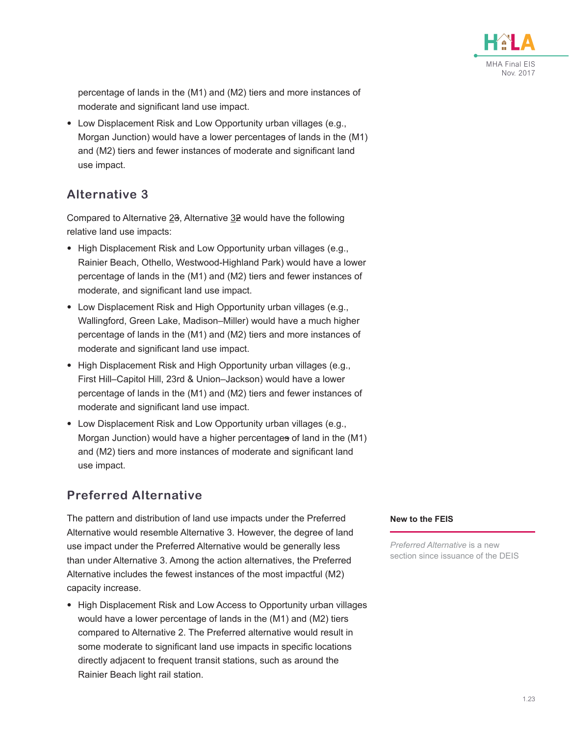![](_page_22_Picture_0.jpeg)

percentage of lands in the (M1) and (M2) tiers and more instances of moderate and significant land use impact.

• Low Displacement Risk and Low Opportunity urban villages (e.g., Morgan Junction) would have a lower percentages of lands in the (M1) and (M2) tiers and fewer instances of moderate and significant land use impact.

### **Alternative 3**

Compared to Alternative 23, Alternative 32 would have the following relative land use impacts:

- High Displacement Risk and Low Opportunity urban villages (e.g., Rainier Beach, Othello, Westwood-Highland Park) would have a lower percentage of lands in the (M1) and (M2) tiers and fewer instances of moderate, and significant land use impact.
- Low Displacement Risk and High Opportunity urban villages (e.g., Wallingford, Green Lake, Madison–Miller) would have a much higher percentage of lands in the (M1) and (M2) tiers and more instances of moderate and significant land use impact.
- High Displacement Risk and High Opportunity urban villages (e.g., First Hill–Capitol Hill, 23rd & Union–Jackson) would have a lower percentage of lands in the (M1) and (M2) tiers and fewer instances of moderate and significant land use impact.
- Low Displacement Risk and Low Opportunity urban villages (e.g., Morgan Junction) would have a higher percentages of land in the (M1) and (M2) tiers and more instances of moderate and significant land use impact.

### **Preferred Alternative**

The pattern and distribution of land use impacts under the Preferred Alternative would resemble Alternative 3. However, the degree of land use impact under the Preferred Alternative would be generally less than under Alternative 3. Among the action alternatives, the Preferred Alternative includes the fewest instances of the most impactful (M2) capacity increase.

• High Displacement Risk and Low Access to Opportunity urban villages would have a lower percentage of lands in the (M1) and (M2) tiers compared to Alternative 2. The Preferred alternative would result in some moderate to significant land use impacts in specific locations directly adjacent to frequent transit stations, such as around the Rainier Beach light rail station.

#### **New to the FEIS**

*Preferred Alternative* is a new section since issuance of the DEIS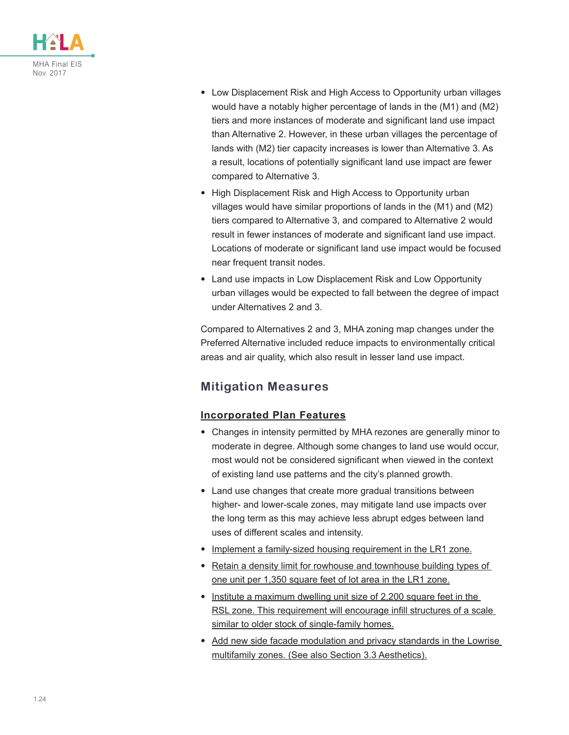![](_page_23_Picture_0.jpeg)

- Low Displacement Risk and High Access to Opportunity urban villages would have a notably higher percentage of lands in the (M1) and (M2) tiers and more instances of moderate and significant land use impact than Alternative 2. However, in these urban villages the percentage of lands with (M2) tier capacity increases is lower than Alternative 3. As a result, locations of potentially significant land use impact are fewer compared to Alternative 3.
- High Displacement Risk and High Access to Opportunity urban villages would have similar proportions of lands in the (M1) and (M2) tiers compared to Alternative 3, and compared to Alternative 2 would result in fewer instances of moderate and significant land use impact. Locations of moderate or significant land use impact would be focused near frequent transit nodes.
- Land use impacts in Low Displacement Risk and Low Opportunity urban villages would be expected to fall between the degree of impact under Alternatives 2 and 3.

Compared to Alternatives 2 and 3, MHA zoning map changes under the Preferred Alternative included reduce impacts to environmentally critical areas and air quality, which also result in lesser land use impact.

## **Mitigation Measures**

#### **Incorporated Plan Features**

- Changes in intensity permitted by MHA rezones are generally minor to moderate in degree. Although some changes to land use would occur, most would not be considered significant when viewed in the context of existing land use patterns and the city's planned growth.
- Land use changes that create more gradual transitions between higher- and lower-scale zones, may mitigate land use impacts over the long term as this may achieve less abrupt edges between land uses of different scales and intensity.
- Implement a family-sized housing requirement in the LR1 zone.
- Retain a density limit for rowhouse and townhouse building types of one unit per 1,350 square feet of lot area in the LR1 zone.
- Institute a maximum dwelling unit size of 2,200 square feet in the RSL zone. This requirement will encourage infill structures of a scale similar to older stock of single-family homes.
- Add new side facade modulation and privacy standards in the Lowrise multifamily zones. (See also Section 3.3 Aesthetics).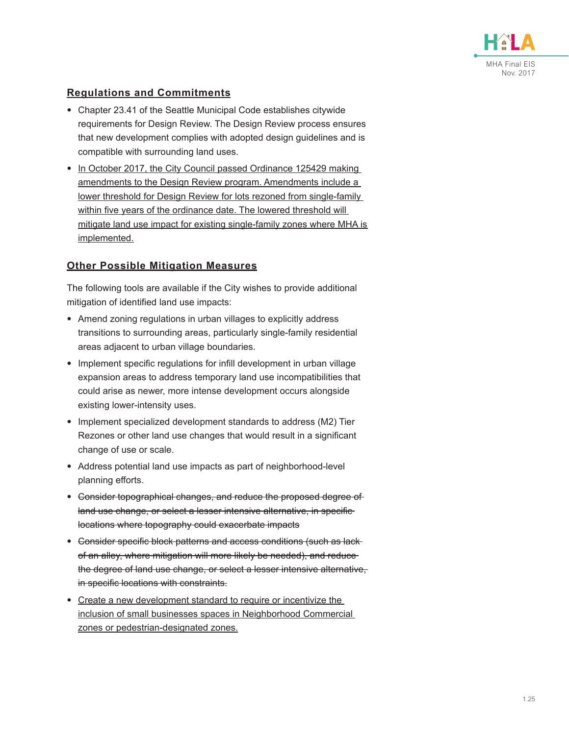![](_page_24_Picture_0.jpeg)

#### **Regulations and Commitments**

- Chapter 23.41 of the Seattle Municipal Code establishes citywide requirements for Design Review. The Design Review process ensures that new development complies with adopted design guidelines and is compatible with surrounding land uses.
- In October 2017, the City Council passed Ordinance 125429 making amendments to the Design Review program. Amendments include a lower threshold for Design Review for lots rezoned from single-family within five years of the ordinance date. The lowered threshold will mitigate land use impact for existing single-family zones where MHA is implemented.

#### **Other Possible Mitigation Measures**

The following tools are available if the City wishes to provide additional mitigation of identified land use impacts:

- Amend zoning regulations in urban villages to explicitly address transitions to surrounding areas, particularly single-family residential areas adjacent to urban village boundaries.
- Implement specific regulations for infill development in urban village expansion areas to address temporary land use incompatibilities that could arise as newer, more intense development occurs alongside existing lower-intensity uses.
- Implement specialized development standards to address (M2) Tier Rezones or other land use changes that would result in a significant change of use or scale.
- Address potential land use impacts as part of neighborhood-level planning efforts.
- Consider topographical changes, and reduce the proposed degree of land use change, or select a lesser intensive alternative, in specificlocations where topography could exacerbate impacts
- Consider specific block patterns and access conditions (such as lackof an alley, where mitigation will more likely be needed), and reduce the degree of land use change, or select a lesser intensive alternative, in specific locations with constraints.
- Create a new development standard to require or incentivize the inclusion of small businesses spaces in Neighborhood Commercial zones or pedestrian-designated zones.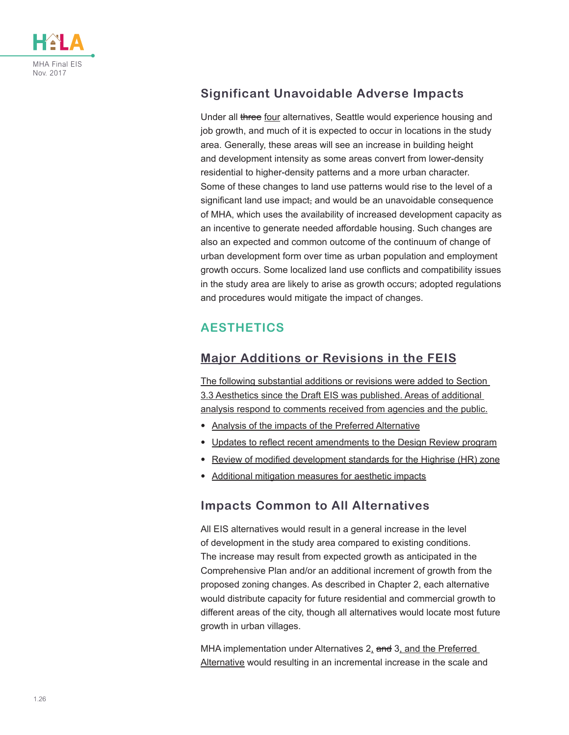![](_page_25_Picture_0.jpeg)

## **Significant Unavoidable Adverse Impacts**

Under all three four alternatives, Seattle would experience housing and job growth, and much of it is expected to occur in locations in the study area. Generally, these areas will see an increase in building height and development intensity as some areas convert from lower-density residential to higher-density patterns and a more urban character. Some of these changes to land use patterns would rise to the level of a significant land use impact, and would be an unavoidable consequence of MHA, which uses the availability of increased development capacity as an incentive to generate needed affordable housing. Such changes are also an expected and common outcome of the continuum of change of urban development form over time as urban population and employment growth occurs. Some localized land use conflicts and compatibility issues in the study area are likely to arise as growth occurs; adopted regulations and procedures would mitigate the impact of changes.

## **AESTHETICS**

### **Major Additions or Revisions in the FEIS**

The following substantial additions or revisions were added to Section 3.3 Aesthetics since the Draft EIS was published. Areas of additional analysis respond to comments received from agencies and the public.

- Analysis of the impacts of the Preferred Alternative
- Updates to reflect recent amendments to the Design Review program
- Review of modified development standards for the Highrise (HR) zone
- Additional mitigation measures for aesthetic impacts

#### **Impacts Common to All Alternatives**

All EIS alternatives would result in a general increase in the level of development in the study area compared to existing conditions. The increase may result from expected growth as anticipated in the Comprehensive Plan and/or an additional increment of growth from the proposed zoning changes. As described in Chapter 2, each alternative would distribute capacity for future residential and commercial growth to different areas of the city, though all alternatives would locate most future growth in urban villages.

MHA implementation under Alternatives 2, and 3, and the Preferred Alternative would resulting in an incremental increase in the scale and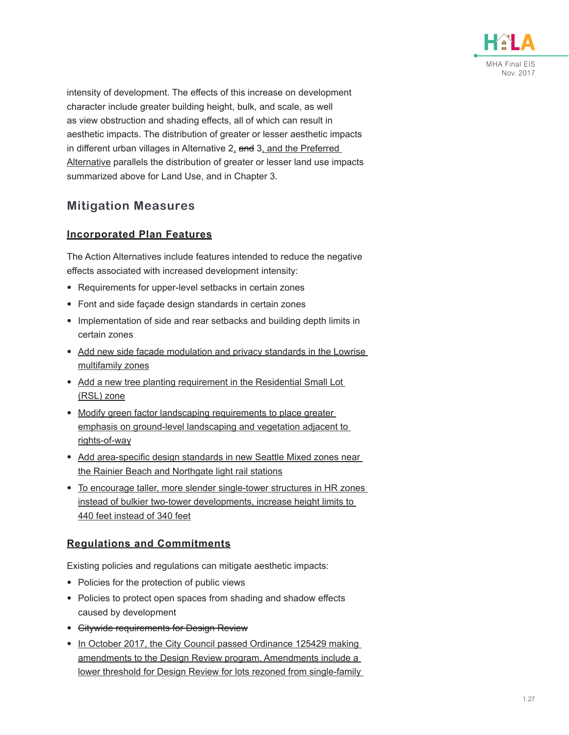![](_page_26_Picture_0.jpeg)

intensity of development. The effects of this increase on development character include greater building height, bulk, and scale, as well as view obstruction and shading effects, all of which can result in aesthetic impacts. The distribution of greater or lesser aesthetic impacts in different urban villages in Alternative 2, and 3, and the Preferred Alternative parallels the distribution of greater or lesser land use impacts summarized above for Land Use, and in Chapter 3.

### **Mitigation Measures**

#### **Incorporated Plan Features**

The Action Alternatives include features intended to reduce the negative effects associated with increased development intensity:

- Requirements for upper-level setbacks in certain zones
- Font and side façade design standards in certain zones
- Implementation of side and rear setbacks and building depth limits in certain zones
- Add new side facade modulation and privacy standards in the Lowrise multifamily zones
- Add a new tree planting requirement in the Residential Small Lot (RSL) zone
- Modify green factor landscaping requirements to place greater emphasis on ground-level landscaping and vegetation adjacent to rights-of-way
- Add area-specific design standards in new Seattle Mixed zones near the Rainier Beach and Northgate light rail stations
- To encourage taller, more slender single-tower structures in HR zones instead of bulkier two-tower developments, increase height limits to 440 feet instead of 340 feet

#### **Regulations and Commitments**

Existing policies and regulations can mitigate aesthetic impacts:

- Policies for the protection of public views
- Policies to protect open spaces from shading and shadow effects caused by development
- Citywide requirements for Design Review
- In October 2017, the City Council passed Ordinance 125429 making amendments to the Design Review program. Amendments include a lower threshold for Design Review for lots rezoned from single-family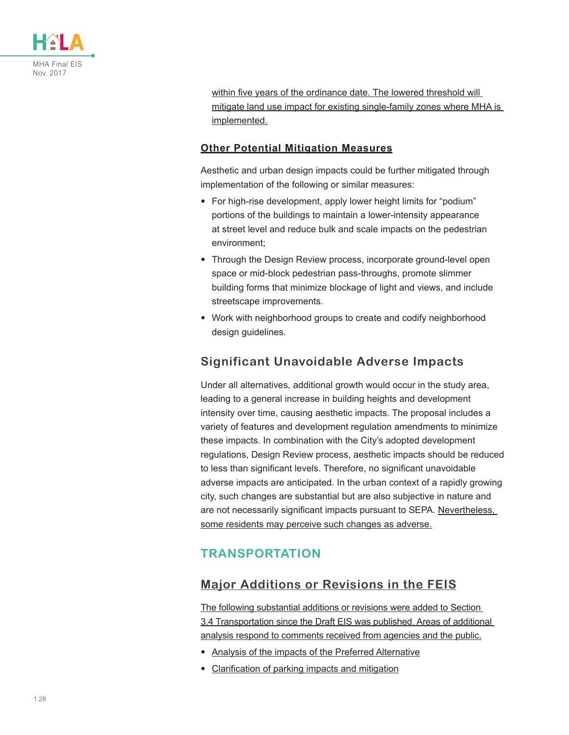![](_page_27_Picture_0.jpeg)

within five years of the ordinance date. The lowered threshold will mitigate land use impact for existing single-family zones where MHA is implemented.

#### **Other Potential Mitigation Measures**

Aesthetic and urban design impacts could be further mitigated through implementation of the following or similar measures:

- For high-rise development, apply lower height limits for "podium" portions of the buildings to maintain a lower-intensity appearance at street level and reduce bulk and scale impacts on the pedestrian environment;
- Through the Design Review process, incorporate ground-level open space or mid-block pedestrian pass-throughs, promote slimmer building forms that minimize blockage of light and views, and include streetscape improvements.
- Work with neighborhood groups to create and codify neighborhood design guidelines.

### **Significant Unavoidable Adverse Impacts**

Under all alternatives, additional growth would occur in the study area, leading to a general increase in building heights and development intensity over time, causing aesthetic impacts. The proposal includes a variety of features and development regulation amendments to minimize these impacts. In combination with the City's adopted development regulations, Design Review process, aesthetic impacts should be reduced to less than significant levels. Therefore, no significant unavoidable adverse impacts are anticipated. In the urban context of a rapidly growing city, such changes are substantial but are also subjective in nature and are not necessarily significant impacts pursuant to SEPA. Nevertheless, some residents may perceive such changes as adverse.

## **TRANSPORTATION**

## **Major Additions or Revisions in the FEIS**

The following substantial additions or revisions were added to Section 3.4 Transportation since the Draft EIS was published. Areas of additional analysis respond to comments received from agencies and the public.

- Analysis of the impacts of the Preferred Alternative
- Clarification of parking impacts and mitigation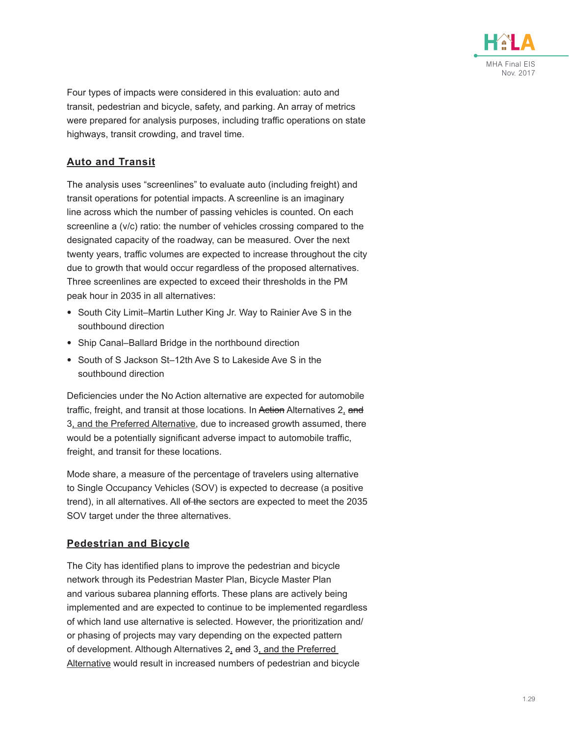![](_page_28_Picture_0.jpeg)

Four types of impacts were considered in this evaluation: auto and transit, pedestrian and bicycle, safety, and parking. An array of metrics were prepared for analysis purposes, including traffic operations on state highways, transit crowding, and travel time.

#### **Auto and Transit**

The analysis uses "screenlines" to evaluate auto (including freight) and transit operations for potential impacts. A screenline is an imaginary line across which the number of passing vehicles is counted. On each screenline a (v/c) ratio: the number of vehicles crossing compared to the designated capacity of the roadway, can be measured. Over the next twenty years, traffic volumes are expected to increase throughout the city due to growth that would occur regardless of the proposed alternatives. Three screenlines are expected to exceed their thresholds in the PM peak hour in 2035 in all alternatives:

- South City Limit–Martin Luther King Jr. Way to Rainier Ave S in the southbound direction
- Ship Canal–Ballard Bridge in the northbound direction
- South of S Jackson St–12th Ave S to Lakeside Ave S in the southbound direction

Deficiencies under the No Action alternative are expected for automobile traffic, freight, and transit at those locations. In Action Alternatives 2, and 3, and the Preferred Alternative, due to increased growth assumed, there would be a potentially significant adverse impact to automobile traffic, freight, and transit for these locations.

Mode share, a measure of the percentage of travelers using alternative to Single Occupancy Vehicles (SOV) is expected to decrease (a positive trend), in all alternatives. All of the sectors are expected to meet the 2035 SOV target under the three alternatives.

#### **Pedestrian and Bicycle**

The City has identified plans to improve the pedestrian and bicycle network through its Pedestrian Master Plan, Bicycle Master Plan and various subarea planning efforts. These plans are actively being implemented and are expected to continue to be implemented regardless of which land use alternative is selected. However, the prioritization and/ or phasing of projects may vary depending on the expected pattern of development. Although Alternatives 2, and 3, and the Preferred Alternative would result in increased numbers of pedestrian and bicycle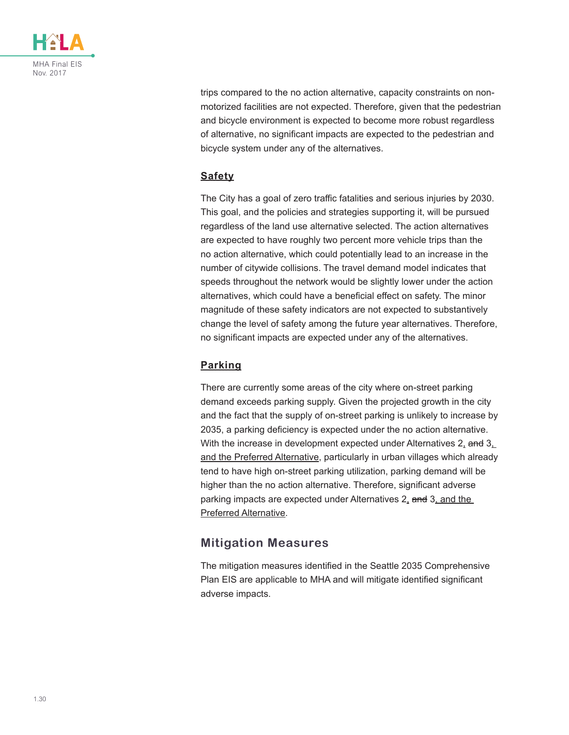![](_page_29_Picture_0.jpeg)

trips compared to the no action alternative, capacity constraints on nonmotorized facilities are not expected. Therefore, given that the pedestrian and bicycle environment is expected to become more robust regardless of alternative, no significant impacts are expected to the pedestrian and bicycle system under any of the alternatives.

#### **Safety**

The City has a goal of zero traffic fatalities and serious injuries by 2030. This goal, and the policies and strategies supporting it, will be pursued regardless of the land use alternative selected. The action alternatives are expected to have roughly two percent more vehicle trips than the no action alternative, which could potentially lead to an increase in the number of citywide collisions. The travel demand model indicates that speeds throughout the network would be slightly lower under the action alternatives, which could have a beneficial effect on safety. The minor magnitude of these safety indicators are not expected to substantively change the level of safety among the future year alternatives. Therefore, no significant impacts are expected under any of the alternatives.

#### **Parking**

There are currently some areas of the city where on-street parking demand exceeds parking supply. Given the projected growth in the city and the fact that the supply of on-street parking is unlikely to increase by 2035, a parking deficiency is expected under the no action alternative. With the increase in development expected under Alternatives 2, and 3, and the Preferred Alternative, particularly in urban villages which already tend to have high on-street parking utilization, parking demand will be higher than the no action alternative. Therefore, significant adverse parking impacts are expected under Alternatives 2, and 3, and the Preferred Alternative.

#### **Mitigation Measures**

The mitigation measures identified in the Seattle 2035 Comprehensive Plan EIS are applicable to MHA and will mitigate identified significant adverse impacts.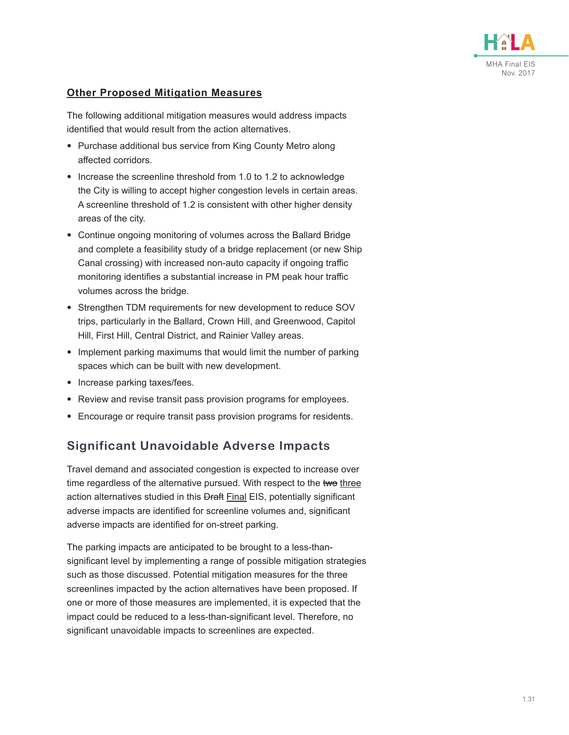![](_page_30_Picture_0.jpeg)

#### **Other Proposed Mitigation Measures**

The following additional mitigation measures would address impacts identified that would result from the action alternatives.

- Purchase additional bus service from King County Metro along affected corridors.
- Increase the screenline threshold from 1.0 to 1.2 to acknowledge the City is willing to accept higher congestion levels in certain areas. A screenline threshold of 1.2 is consistent with other higher density areas of the city.
- Continue ongoing monitoring of volumes across the Ballard Bridge and complete a feasibility study of a bridge replacement (or new Ship Canal crossing) with increased non-auto capacity if ongoing traffic monitoring identifies a substantial increase in PM peak hour traffic volumes across the bridge.
- Strengthen TDM requirements for new development to reduce SOV trips, particularly in the Ballard, Crown Hill, and Greenwood, Capitol Hill, First Hill, Central District, and Rainier Valley areas.
- Implement parking maximums that would limit the number of parking spaces which can be built with new development.
- Increase parking taxes/fees.
- Review and revise transit pass provision programs for employees.
- Encourage or require transit pass provision programs for residents.

### **Significant Unavoidable Adverse Impacts**

Travel demand and associated congestion is expected to increase over time regardless of the alternative pursued. With respect to the two three action alternatives studied in this **Draft Final EIS**, potentially significant adverse impacts are identified for screenline volumes and, significant adverse impacts are identified for on-street parking.

The parking impacts are anticipated to be brought to a less-thansignificant level by implementing a range of possible mitigation strategies such as those discussed. Potential mitigation measures for the three screenlines impacted by the action alternatives have been proposed. If one or more of those measures are implemented, it is expected that the impact could be reduced to a less-than-significant level. Therefore, no significant unavoidable impacts to screenlines are expected.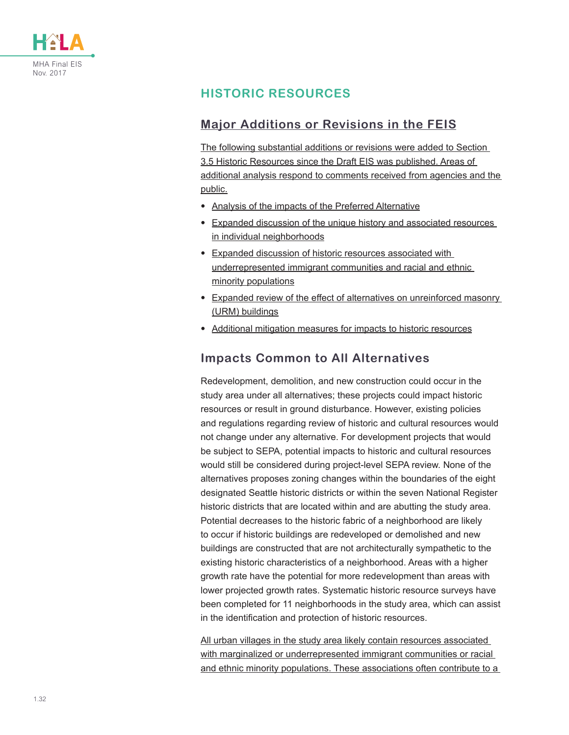![](_page_31_Picture_0.jpeg)

## **HISTORIC RESOURCES**

### **Major Additions or Revisions in the FEIS**

The following substantial additions or revisions were added to Section 3.5 Historic Resources since the Draft EIS was published. Areas of additional analysis respond to comments received from agencies and the public.

- Analysis of the impacts of the Preferred Alternative
- Expanded discussion of the unique history and associated resources in individual neighborhoods
- Expanded discussion of historic resources associated with underrepresented immigrant communities and racial and ethnic minority populations
- Expanded review of the effect of alternatives on unreinforced masonry (URM) buildings
- Additional mitigation measures for impacts to historic resources

#### **Impacts Common to All Alternatives**

Redevelopment, demolition, and new construction could occur in the study area under all alternatives; these projects could impact historic resources or result in ground disturbance. However, existing policies and regulations regarding review of historic and cultural resources would not change under any alternative. For development projects that would be subject to SEPA, potential impacts to historic and cultural resources would still be considered during project-level SEPA review. None of the alternatives proposes zoning changes within the boundaries of the eight designated Seattle historic districts or within the seven National Register historic districts that are located within and are abutting the study area. Potential decreases to the historic fabric of a neighborhood are likely to occur if historic buildings are redeveloped or demolished and new buildings are constructed that are not architecturally sympathetic to the existing historic characteristics of a neighborhood. Areas with a higher growth rate have the potential for more redevelopment than areas with lower projected growth rates. Systematic historic resource surveys have been completed for 11 neighborhoods in the study area, which can assist in the identification and protection of historic resources.

All urban villages in the study area likely contain resources associated with marginalized or underrepresented immigrant communities or racial and ethnic minority populations. These associations often contribute to a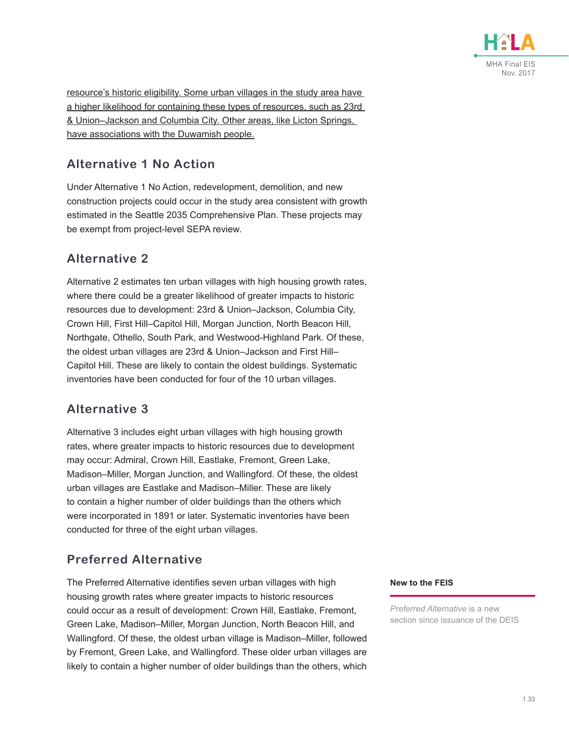![](_page_32_Picture_0.jpeg)

resource's historic eligibility. Some urban villages in the study area have a higher likelihood for containing these types of resources, such as 23rd & Union–Jackson and Columbia City. Other areas, like Licton Springs, have associations with the Duwamish people.

## **Alternative 1 No Action**

Under Alternative 1 No Action, redevelopment, demolition, and new construction projects could occur in the study area consistent with growth estimated in the Seattle 2035 Comprehensive Plan. These projects may be exempt from project-level SEPA review.

### **Alternative 2**

Alternative 2 estimates ten urban villages with high housing growth rates, where there could be a greater likelihood of greater impacts to historic resources due to development: 23rd & Union–Jackson, Columbia City, Crown Hill, First Hill–Capitol Hill, Morgan Junction, North Beacon Hill, Northgate, Othello, South Park, and Westwood-Highland Park. Of these, the oldest urban villages are 23rd & Union–Jackson and First Hill– Capitol Hill. These are likely to contain the oldest buildings. Systematic inventories have been conducted for four of the 10 urban villages.

## **Alternative 3**

Alternative 3 includes eight urban villages with high housing growth rates, where greater impacts to historic resources due to development may occur: Admiral, Crown Hill, Eastlake, Fremont, Green Lake, Madison–Miller, Morgan Junction, and Wallingford. Of these, the oldest urban villages are Eastlake and Madison–Miller. These are likely to contain a higher number of older buildings than the others which were incorporated in 1891 or later. Systematic inventories have been conducted for three of the eight urban villages.

## **Preferred Alternative**

The Preferred Alternative identifies seven urban villages with high housing growth rates where greater impacts to historic resources could occur as a result of development: Crown Hill, Eastlake, Fremont, Green Lake, Madison–Miller, Morgan Junction, North Beacon Hill, and Wallingford. Of these, the oldest urban village is Madison–Miller, followed by Fremont, Green Lake, and Wallingford. These older urban villages are likely to contain a higher number of older buildings than the others, which

#### **New to the FEIS**

*Preferred Alternative* is a new section since issuance of the DEIS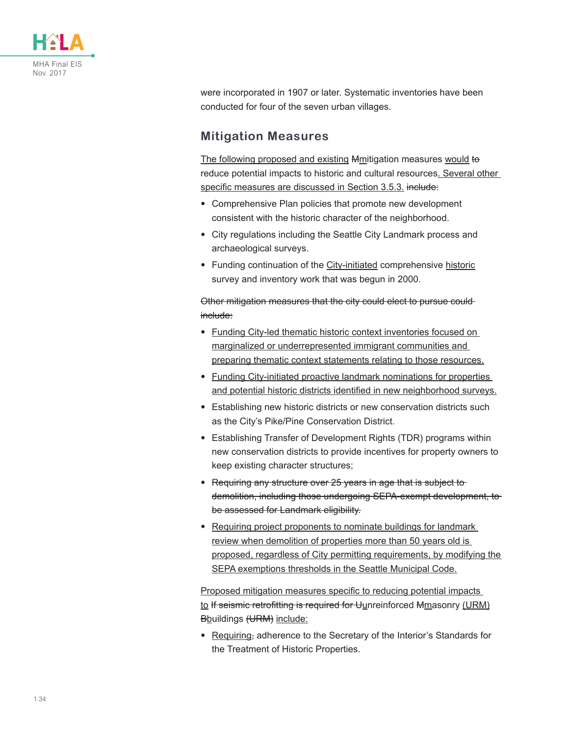![](_page_33_Picture_0.jpeg)

were incorporated in 1907 or later. Systematic inventories have been conducted for four of the seven urban villages.

#### **Mitigation Measures**

The following proposed and existing Mmitigation measures would to reduce potential impacts to historic and cultural resources. Several other specific measures are discussed in Section 3.5.3. include:

- Comprehensive Plan policies that promote new development consistent with the historic character of the neighborhood.
- City regulations including the Seattle City Landmark process and archaeological surveys.
- Funding continuation of the City-initiated comprehensive historic survey and inventory work that was begun in 2000.

Other mitigation measures that the city could elect to pursue could include:

- Funding City-led thematic historic context inventories focused on marginalized or underrepresented immigrant communities and preparing thematic context statements relating to those resources.
- Funding City-initiated proactive landmark nominations for properties and potential historic districts identified in new neighborhood surveys.
- Establishing new historic districts or new conservation districts such as the City's Pike/Pine Conservation District.
- Establishing Transfer of Development Rights (TDR) programs within new conservation districts to provide incentives for property owners to keep existing character structures;
- Requiring any structure over 25 years in age that is subject to demolition, including those undergoing SEPA-exempt development, to be assessed for Landmark eligibility.
- Requiring project proponents to nominate buildings for landmark review when demolition of properties more than 50 years old is proposed, regardless of City permitting requirements, by modifying the SEPA exemptions thresholds in the Seattle Municipal Code.

Proposed mitigation measures specific to reducing potential impacts to If seismic retrofitting is required for Uunreinforced Mmasonry (URM) Bbuildings (URM) include:

• Requiring, adherence to the Secretary of the Interior's Standards for the Treatment of Historic Properties.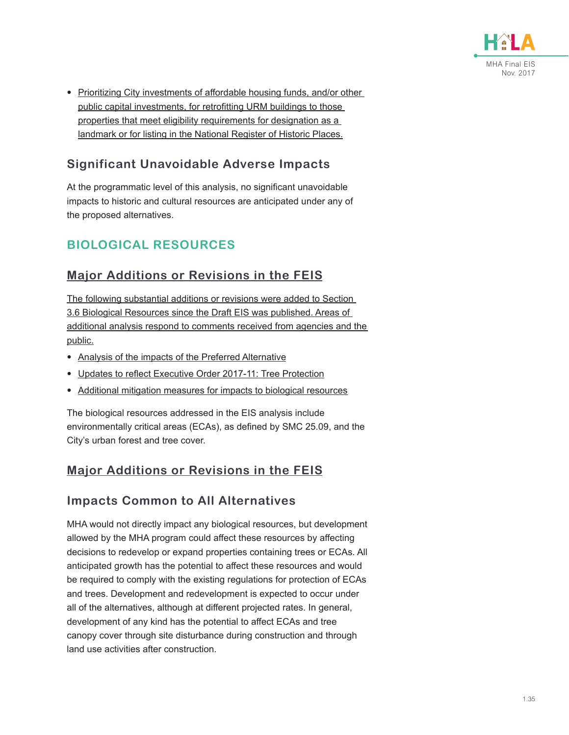![](_page_34_Picture_0.jpeg)

• Prioritizing City investments of affordable housing funds, and/or other public capital investments, for retrofitting URM buildings to those properties that meet eligibility requirements for designation as a landmark or for listing in the National Register of Historic Places.

## **Significant Unavoidable Adverse Impacts**

At the programmatic level of this analysis, no significant unavoidable impacts to historic and cultural resources are anticipated under any of the proposed alternatives.

## **BIOLOGICAL RESOURCES**

### **Major Additions or Revisions in the FEIS**

The following substantial additions or revisions were added to Section 3.6 Biological Resources since the Draft EIS was published. Areas of additional analysis respond to comments received from agencies and the public.

- Analysis of the impacts of the Preferred Alternative
- Updates to reflect Executive Order 2017-11: Tree Protection
- Additional mitigation measures for impacts to biological resources

The biological resources addressed in the EIS analysis include environmentally critical areas (ECAs), as defined by SMC 25.09, and the City's urban forest and tree cover.

## **Major Additions or Revisions in the FEIS**

### **Impacts Common to All Alternatives**

MHA would not directly impact any biological resources, but development allowed by the MHA program could affect these resources by affecting decisions to redevelop or expand properties containing trees or ECAs. All anticipated growth has the potential to affect these resources and would be required to comply with the existing regulations for protection of ECAs and trees. Development and redevelopment is expected to occur under all of the alternatives, although at different projected rates. In general, development of any kind has the potential to affect ECAs and tree canopy cover through site disturbance during construction and through land use activities after construction.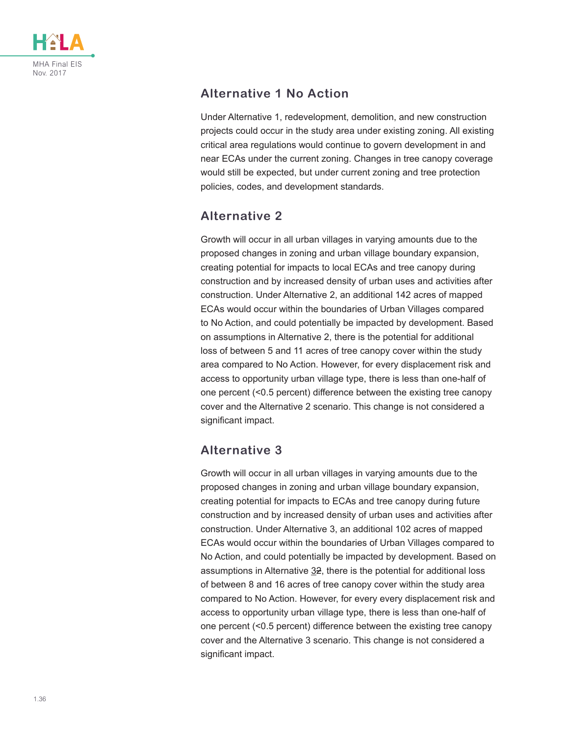![](_page_35_Picture_0.jpeg)

## **Alternative 1 No Action**

Under Alternative 1, redevelopment, demolition, and new construction projects could occur in the study area under existing zoning. All existing critical area regulations would continue to govern development in and near ECAs under the current zoning. Changes in tree canopy coverage would still be expected, but under current zoning and tree protection policies, codes, and development standards.

## **Alternative 2**

Growth will occur in all urban villages in varying amounts due to the proposed changes in zoning and urban village boundary expansion, creating potential for impacts to local ECAs and tree canopy during construction and by increased density of urban uses and activities after construction. Under Alternative 2, an additional 142 acres of mapped ECAs would occur within the boundaries of Urban Villages compared to No Action, and could potentially be impacted by development. Based on assumptions in Alternative 2, there is the potential for additional loss of between 5 and 11 acres of tree canopy cover within the study area compared to No Action. However, for every displacement risk and access to opportunity urban village type, there is less than one-half of one percent (<0.5 percent) difference between the existing tree canopy cover and the Alternative 2 scenario. This change is not considered a significant impact.

## **Alternative 3**

Growth will occur in all urban villages in varying amounts due to the proposed changes in zoning and urban village boundary expansion, creating potential for impacts to ECAs and tree canopy during future construction and by increased density of urban uses and activities after construction. Under Alternative 3, an additional 102 acres of mapped ECAs would occur within the boundaries of Urban Villages compared to No Action, and could potentially be impacted by development. Based on assumptions in Alternative  $32$ , there is the potential for additional loss of between 8 and 16 acres of tree canopy cover within the study area compared to No Action. However, for every every displacement risk and access to opportunity urban village type, there is less than one-half of one percent (<0.5 percent) difference between the existing tree canopy cover and the Alternative 3 scenario. This change is not considered a significant impact.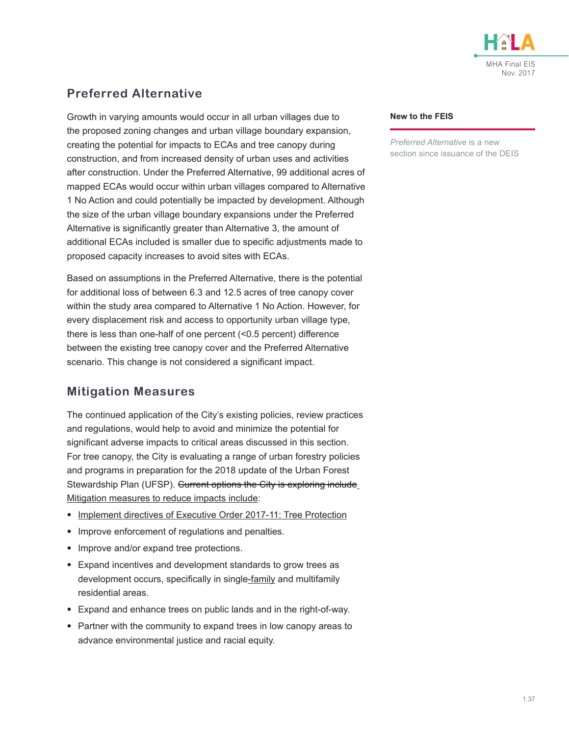![](_page_36_Picture_0.jpeg)

## **Preferred Alternative**

Growth in varying amounts would occur in all urban villages due to the proposed zoning changes and urban village boundary expansion, creating the potential for impacts to ECAs and tree canopy during construction, and from increased density of urban uses and activities after construction. Under the Preferred Alternative, 99 additional acres of mapped ECAs would occur within urban villages compared to Alternative 1 No Action and could potentially be impacted by development. Although the size of the urban village boundary expansions under the Preferred Alternative is significantly greater than Alternative 3, the amount of additional ECAs included is smaller due to specific adjustments made to proposed capacity increases to avoid sites with ECAs.

Based on assumptions in the Preferred Alternative, there is the potential for additional loss of between 6.3 and 12.5 acres of tree canopy cover within the study area compared to Alternative 1 No Action. However, for every displacement risk and access to opportunity urban village type, there is less than one-half of one percent (<0.5 percent) difference between the existing tree canopy cover and the Preferred Alternative scenario. This change is not considered a significant impact.

### **Mitigation Measures**

The continued application of the City's existing policies, review practices and regulations, would help to avoid and minimize the potential for significant adverse impacts to critical areas discussed in this section. For tree canopy, the City is evaluating a range of urban forestry policies and programs in preparation for the 2018 update of the Urban Forest Stewardship Plan (UFSP). Current options the City is exploring include Mitigation measures to reduce impacts include:

- Implement directives of Executive Order 2017-11: Tree Protection
- Improve enforcement of regulations and penalties.
- Improve and/or expand tree protections.
- Expand incentives and development standards to grow trees as development occurs, specifically in single-family and multifamily residential areas.
- Expand and enhance trees on public lands and in the right-of-way.
- Partner with the community to expand trees in low canopy areas to advance environmental justice and racial equity.

#### **New to the FEIS**

*Preferred Alternative* is a new section since issuance of the DEIS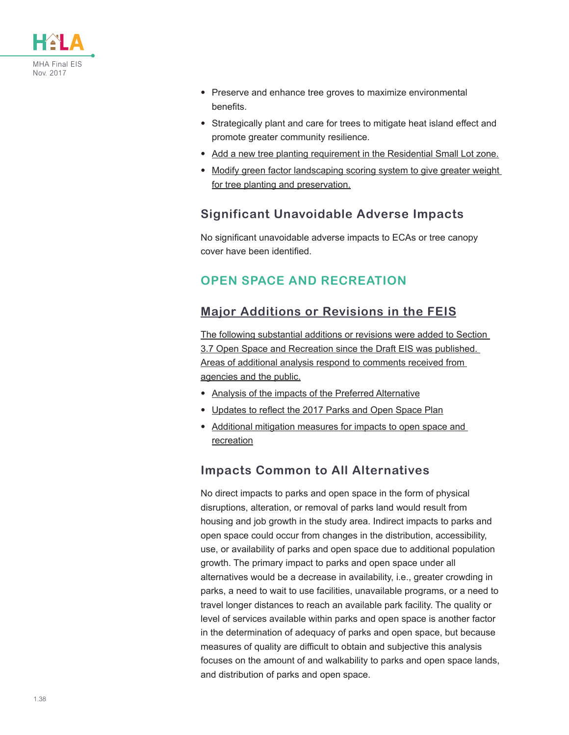![](_page_37_Picture_0.jpeg)

- Preserve and enhance tree groves to maximize environmental benefits.
- Strategically plant and care for trees to mitigate heat island effect and promote greater community resilience.
- Add a new tree planting requirement in the Residential Small Lot zone.
- Modify green factor landscaping scoring system to give greater weight for tree planting and preservation.

### **Significant Unavoidable Adverse Impacts**

No significant unavoidable adverse impacts to ECAs or tree canopy cover have been identified.

## **OPEN SPACE AND RECREATION**

## **Major Additions or Revisions in the FEIS**

The following substantial additions or revisions were added to Section 3.7 Open Space and Recreation since the Draft EIS was published. Areas of additional analysis respond to comments received from agencies and the public.

- Analysis of the impacts of the Preferred Alternative
- Updates to reflect the 2017 Parks and Open Space Plan
- Additional mitigation measures for impacts to open space and recreation

### **Impacts Common to All Alternatives**

No direct impacts to parks and open space in the form of physical disruptions, alteration, or removal of parks land would result from housing and job growth in the study area. Indirect impacts to parks and open space could occur from changes in the distribution, accessibility, use, or availability of parks and open space due to additional population growth. The primary impact to parks and open space under all alternatives would be a decrease in availability, i.e., greater crowding in parks, a need to wait to use facilities, unavailable programs, or a need to travel longer distances to reach an available park facility. The quality or level of services available within parks and open space is another factor in the determination of adequacy of parks and open space, but because measures of quality are difficult to obtain and subjective this analysis focuses on the amount of and walkability to parks and open space lands, and distribution of parks and open space.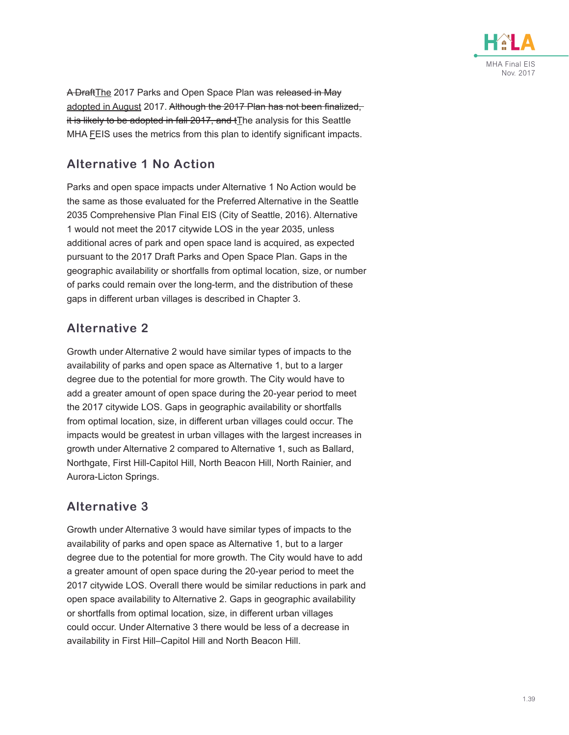![](_page_38_Picture_0.jpeg)

A DraftThe 2017 Parks and Open Space Plan was released in May adopted in August 2017. Although the 2017 Plan has not been finalized, it is likely to be adopted in fall  $2017$ , and  $t$  The analysis for this Seattle MHA FEIS uses the metrics from this plan to identify significant impacts.

## **Alternative 1 No Action**

Parks and open space impacts under Alternative 1 No Action would be the same as those evaluated for the Preferred Alternative in the Seattle 2035 Comprehensive Plan Final EIS (City of Seattle, 2016). Alternative 1 would not meet the 2017 citywide LOS in the year 2035, unless additional acres of park and open space land is acquired, as expected pursuant to the 2017 Draft Parks and Open Space Plan. Gaps in the geographic availability or shortfalls from optimal location, size, or number of parks could remain over the long-term, and the distribution of these gaps in different urban villages is described in Chapter 3.

### **Alternative 2**

Growth under Alternative 2 would have similar types of impacts to the availability of parks and open space as Alternative 1, but to a larger degree due to the potential for more growth. The City would have to add a greater amount of open space during the 20-year period to meet the 2017 citywide LOS. Gaps in geographic availability or shortfalls from optimal location, size, in different urban villages could occur. The impacts would be greatest in urban villages with the largest increases in growth under Alternative 2 compared to Alternative 1, such as Ballard, Northgate, First Hill-Capitol Hill, North Beacon Hill, North Rainier, and Aurora-Licton Springs.

### **Alternative 3**

Growth under Alternative 3 would have similar types of impacts to the availability of parks and open space as Alternative 1, but to a larger degree due to the potential for more growth. The City would have to add a greater amount of open space during the 20-year period to meet the 2017 citywide LOS. Overall there would be similar reductions in park and open space availability to Alternative 2. Gaps in geographic availability or shortfalls from optimal location, size, in different urban villages could occur. Under Alternative 3 there would be less of a decrease in availability in First Hill–Capitol Hill and North Beacon Hill.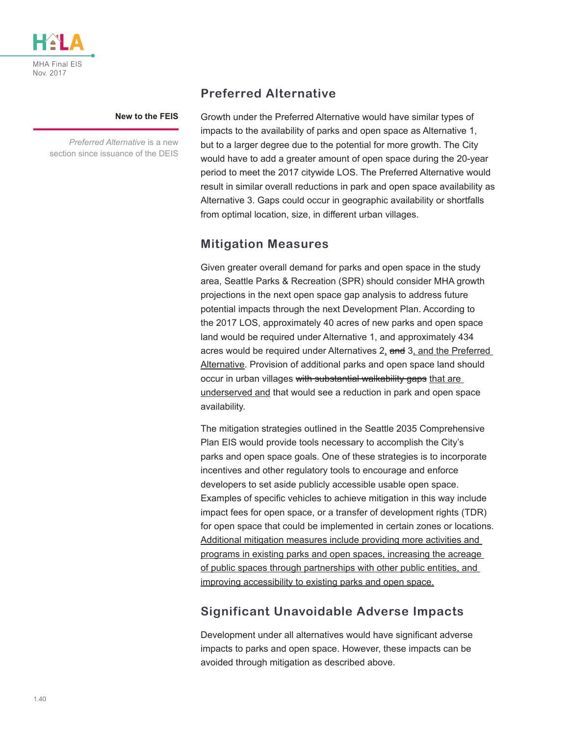![](_page_39_Picture_0.jpeg)

#### **New to the FEIS**

*Preferred Alternative* is a new section since issuance of the DEIS

### **Preferred Alternative**

Growth under the Preferred Alternative would have similar types of impacts to the availability of parks and open space as Alternative 1, but to a larger degree due to the potential for more growth. The City would have to add a greater amount of open space during the 20-year period to meet the 2017 citywide LOS. The Preferred Alternative would result in similar overall reductions in park and open space availability as Alternative 3. Gaps could occur in geographic availability or shortfalls from optimal location, size, in different urban villages.

#### **Mitigation Measures**

Given greater overall demand for parks and open space in the study area, Seattle Parks & Recreation (SPR) should consider MHA growth projections in the next open space gap analysis to address future potential impacts through the next Development Plan. According to the 2017 LOS, approximately 40 acres of new parks and open space land would be required under Alternative 1, and approximately 434 acres would be required under Alternatives 2, and 3, and the Preferred Alternative. Provision of additional parks and open space land should occur in urban villages with substantial walkability gaps that are underserved and that would see a reduction in park and open space availability.

The mitigation strategies outlined in the Seattle 2035 Comprehensive Plan EIS would provide tools necessary to accomplish the City's parks and open space goals. One of these strategies is to incorporate incentives and other regulatory tools to encourage and enforce developers to set aside publicly accessible usable open space. Examples of specific vehicles to achieve mitigation in this way include impact fees for open space, or a transfer of development rights (TDR) for open space that could be implemented in certain zones or locations. Additional mitigation measures include providing more activities and programs in existing parks and open spaces, increasing the acreage of public spaces through partnerships with other public entities, and improving accessibility to existing parks and open space.

### **Significant Unavoidable Adverse Impacts**

Development under all alternatives would have significant adverse impacts to parks and open space. However, these impacts can be avoided through mitigation as described above.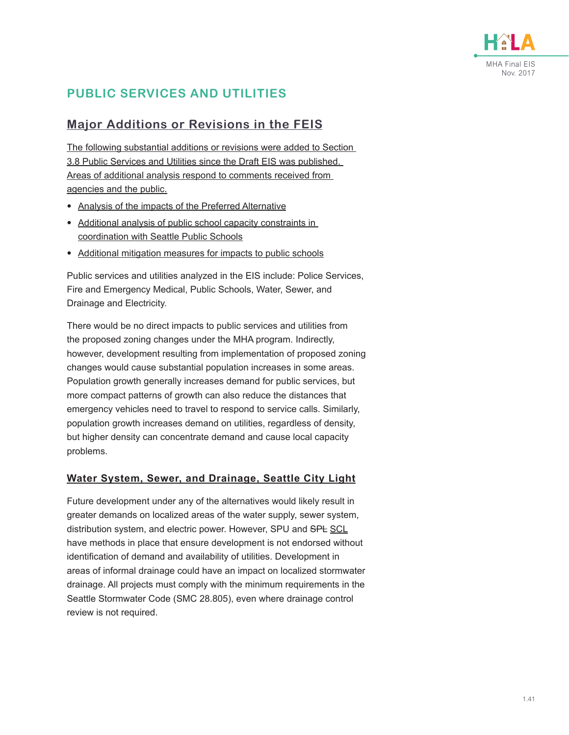![](_page_40_Picture_0.jpeg)

## **PUBLIC SERVICES AND UTILITIES**

### **Major Additions or Revisions in the FEIS**

The following substantial additions or revisions were added to Section 3.8 Public Services and Utilities since the Draft EIS was published. Areas of additional analysis respond to comments received from agencies and the public.

- Analysis of the impacts of the Preferred Alternative
- Additional analysis of public school capacity constraints in coordination with Seattle Public Schools
- Additional mitigation measures for impacts to public schools

Public services and utilities analyzed in the EIS include: Police Services, Fire and Emergency Medical, Public Schools, Water, Sewer, and Drainage and Electricity.

There would be no direct impacts to public services and utilities from the proposed zoning changes under the MHA program. Indirectly, however, development resulting from implementation of proposed zoning changes would cause substantial population increases in some areas. Population growth generally increases demand for public services, but more compact patterns of growth can also reduce the distances that emergency vehicles need to travel to respond to service calls. Similarly, population growth increases demand on utilities, regardless of density, but higher density can concentrate demand and cause local capacity problems.

#### **Water System, Sewer, and Drainage, Seattle City Light**

Future development under any of the alternatives would likely result in greater demands on localized areas of the water supply, sewer system, distribution system, and electric power. However, SPU and SPL SCL have methods in place that ensure development is not endorsed without identification of demand and availability of utilities. Development in areas of informal drainage could have an impact on localized stormwater drainage. All projects must comply with the minimum requirements in the Seattle Stormwater Code (SMC 28.805), even where drainage control review is not required.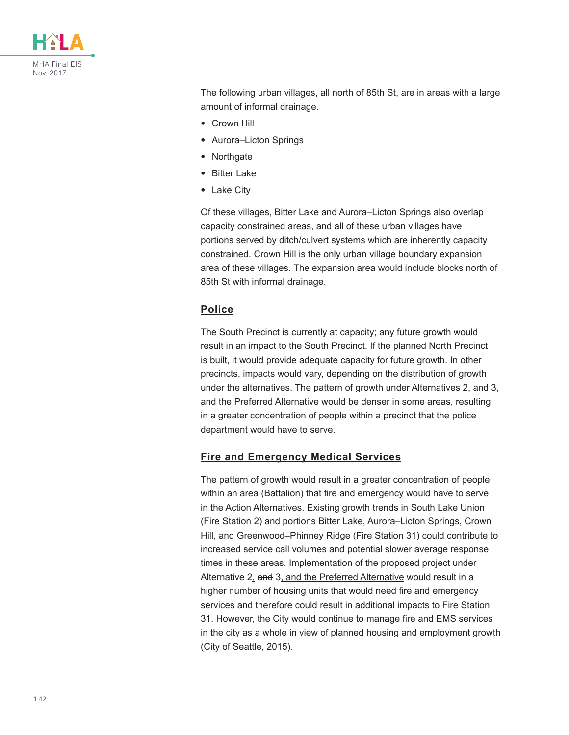![](_page_41_Picture_0.jpeg)

The following urban villages, all north of 85th St, are in areas with a large amount of informal drainage.

- Crown Hill
- Aurora–Licton Springs
- Northgate
- Bitter Lake
- Lake City

Of these villages, Bitter Lake and Aurora–Licton Springs also overlap capacity constrained areas, and all of these urban villages have portions served by ditch/culvert systems which are inherently capacity constrained. Crown Hill is the only urban village boundary expansion area of these villages. The expansion area would include blocks north of 85th St with informal drainage.

#### **Police**

The South Precinct is currently at capacity; any future growth would result in an impact to the South Precinct. If the planned North Precinct is built, it would provide adequate capacity for future growth. In other precincts, impacts would vary, depending on the distribution of growth under the alternatives. The pattern of growth under Alternatives  $2<sub>1</sub>$  and  $3<sub>1</sub>$ and the Preferred Alternative would be denser in some areas, resulting in a greater concentration of people within a precinct that the police department would have to serve.

#### **Fire and Emergency Medical Services**

The pattern of growth would result in a greater concentration of people within an area (Battalion) that fire and emergency would have to serve in the Action Alternatives. Existing growth trends in South Lake Union (Fire Station 2) and portions Bitter Lake, Aurora–Licton Springs, Crown Hill, and Greenwood–Phinney Ridge (Fire Station 31) could contribute to increased service call volumes and potential slower average response times in these areas. Implementation of the proposed project under Alternative 2, and 3, and the Preferred Alternative would result in a higher number of housing units that would need fire and emergency services and therefore could result in additional impacts to Fire Station 31. However, the City would continue to manage fire and EMS services in the city as a whole in view of planned housing and employment growth (City of Seattle, 2015).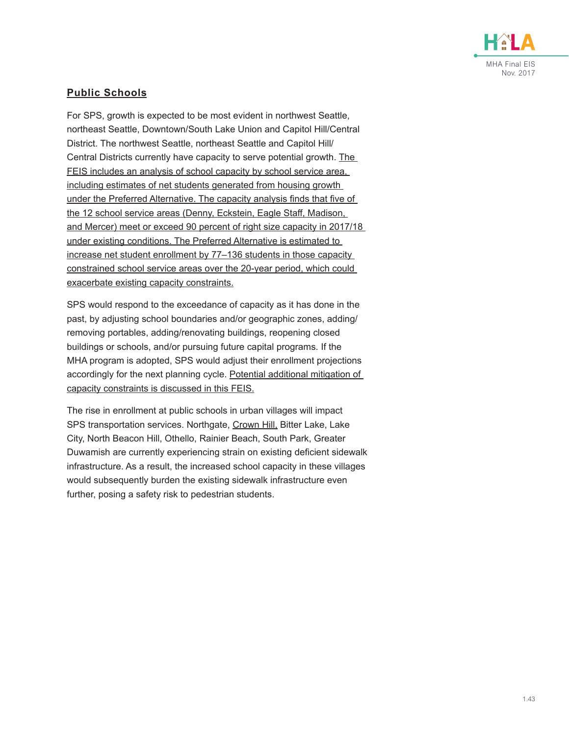![](_page_42_Picture_0.jpeg)

#### **Public Schools**

For SPS, growth is expected to be most evident in northwest Seattle, northeast Seattle, Downtown/South Lake Union and Capitol Hill/Central District. The northwest Seattle, northeast Seattle and Capitol Hill/ Central Districts currently have capacity to serve potential growth. The FEIS includes an analysis of school capacity by school service area, including estimates of net students generated from housing growth under the Preferred Alternative. The capacity analysis finds that five of the 12 school service areas (Denny, Eckstein, Eagle Staff, Madison, and Mercer) meet or exceed 90 percent of right size capacity in 2017/18 under existing conditions. The Preferred Alternative is estimated to increase net student enrollment by 77–136 students in those capacity constrained school service areas over the 20-year period, which could exacerbate existing capacity constraints.

SPS would respond to the exceedance of capacity as it has done in the past, by adjusting school boundaries and/or geographic zones, adding/ removing portables, adding/renovating buildings, reopening closed buildings or schools, and/or pursuing future capital programs. If the MHA program is adopted, SPS would adjust their enrollment projections accordingly for the next planning cycle. Potential additional mitigation of capacity constraints is discussed in this FEIS.

The rise in enrollment at public schools in urban villages will impact SPS transportation services. Northgate, Crown Hill, Bitter Lake, Lake City, North Beacon Hill, Othello, Rainier Beach, South Park, Greater Duwamish are currently experiencing strain on existing deficient sidewalk infrastructure. As a result, the increased school capacity in these villages would subsequently burden the existing sidewalk infrastructure even further, posing a safety risk to pedestrian students.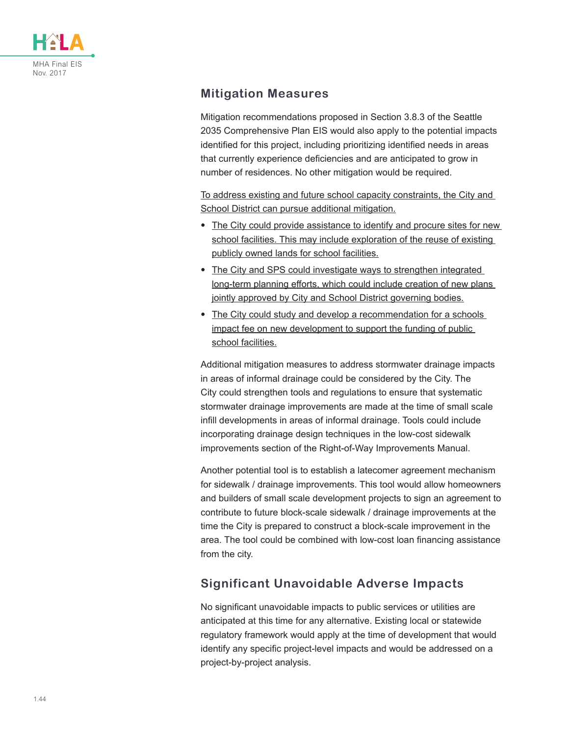![](_page_43_Picture_0.jpeg)

### **Mitigation Measures**

Mitigation recommendations proposed in Section 3.8.3 of the Seattle 2035 Comprehensive Plan EIS would also apply to the potential impacts identified for this project, including prioritizing identified needs in areas that currently experience deficiencies and are anticipated to grow in number of residences. No other mitigation would be required.

To address existing and future school capacity constraints, the City and School District can pursue additional mitigation.

- The City could provide assistance to identify and procure sites for new school facilities. This may include exploration of the reuse of existing publicly owned lands for school facilities.
- The City and SPS could investigate ways to strengthen integrated long-term planning efforts, which could include creation of new plans jointly approved by City and School District governing bodies.
- The City could study and develop a recommendation for a schools impact fee on new development to support the funding of public school facilities.

Additional mitigation measures to address stormwater drainage impacts in areas of informal drainage could be considered by the City. The City could strengthen tools and regulations to ensure that systematic stormwater drainage improvements are made at the time of small scale infill developments in areas of informal drainage. Tools could include incorporating drainage design techniques in the low-cost sidewalk improvements section of the Right-of-Way Improvements Manual.

Another potential tool is to establish a latecomer agreement mechanism for sidewalk / drainage improvements. This tool would allow homeowners and builders of small scale development projects to sign an agreement to contribute to future block-scale sidewalk / drainage improvements at the time the City is prepared to construct a block-scale improvement in the area. The tool could be combined with low-cost loan financing assistance from the city.

## **Significant Unavoidable Adverse Impacts**

No significant unavoidable impacts to public services or utilities are anticipated at this time for any alternative. Existing local or statewide regulatory framework would apply at the time of development that would identify any specific project-level impacts and would be addressed on a project-by-project analysis.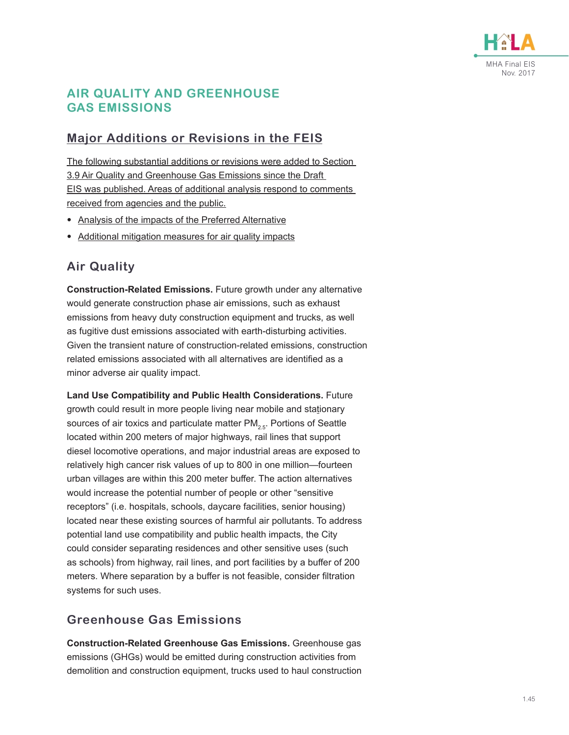![](_page_44_Picture_0.jpeg)

### **AIR QUALITY AND GREENHOUSE GAS EMISSIONS**

### **Major Additions or Revisions in the FEIS**

The following substantial additions or revisions were added to Section 3.9 Air Quality and Greenhouse Gas Emissions since the Draft EIS was published. Areas of additional analysis respond to comments received from agencies and the public.

- Analysis of the impacts of the Preferred Alternative
- Additional mitigation measures for air quality impacts

### **Air Quality**

**Construction-Related Emissions.** Future growth under any alternative would generate construction phase air emissions, such as exhaust emissions from heavy duty construction equipment and trucks, as well as fugitive dust emissions associated with earth-disturbing activities. Given the transient nature of construction-related emissions, construction related emissions associated with all alternatives are identified as a minor adverse air quality impact.

**Land Use Compatibility and Public Health Considerations.** Future growth could result in more people living near mobile and stationary sources of air toxics and particulate matter  $PM_{2.5}$ . Portions of Seattle located within 200 meters of major highways, rail lines that support diesel locomotive operations, and major industrial areas are exposed to relatively high cancer risk values of up to 800 in one million—fourteen urban villages are within this 200 meter buffer. The action alternatives would increase the potential number of people or other "sensitive receptors" (i.e. hospitals, schools, daycare facilities, senior housing) located near these existing sources of harmful air pollutants. To address potential land use compatibility and public health impacts, the City could consider separating residences and other sensitive uses (such as schools) from highway, rail lines, and port facilities by a buffer of 200 meters. Where separation by a buffer is not feasible, consider filtration systems for such uses.

## **Greenhouse Gas Emissions**

**Construction-Related Greenhouse Gas Emissions.** Greenhouse gas emissions (GHGs) would be emitted during construction activities from demolition and construction equipment, trucks used to haul construction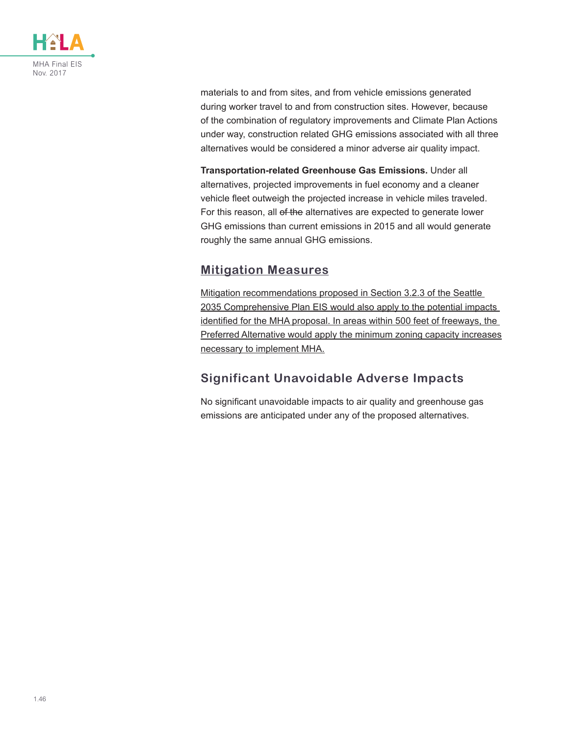![](_page_45_Picture_0.jpeg)

materials to and from sites, and from vehicle emissions generated during worker travel to and from construction sites. However, because of the combination of regulatory improvements and Climate Plan Actions under way, construction related GHG emissions associated with all three alternatives would be considered a minor adverse air quality impact.

**Transportation-related Greenhouse Gas Emissions.** Under all alternatives, projected improvements in fuel economy and a cleaner vehicle fleet outweigh the projected increase in vehicle miles traveled. For this reason, all of the alternatives are expected to generate lower GHG emissions than current emissions in 2015 and all would generate roughly the same annual GHG emissions.

### **Mitigation Measures**

Mitigation recommendations proposed in Section 3.2.3 of the Seattle 2035 Comprehensive Plan EIS would also apply to the potential impacts identified for the MHA proposal. In areas within 500 feet of freeways, the Preferred Alternative would apply the minimum zoning capacity increases necessary to implement MHA.

## **Significant Unavoidable Adverse Impacts**

No significant unavoidable impacts to air quality and greenhouse gas emissions are anticipated under any of the proposed alternatives.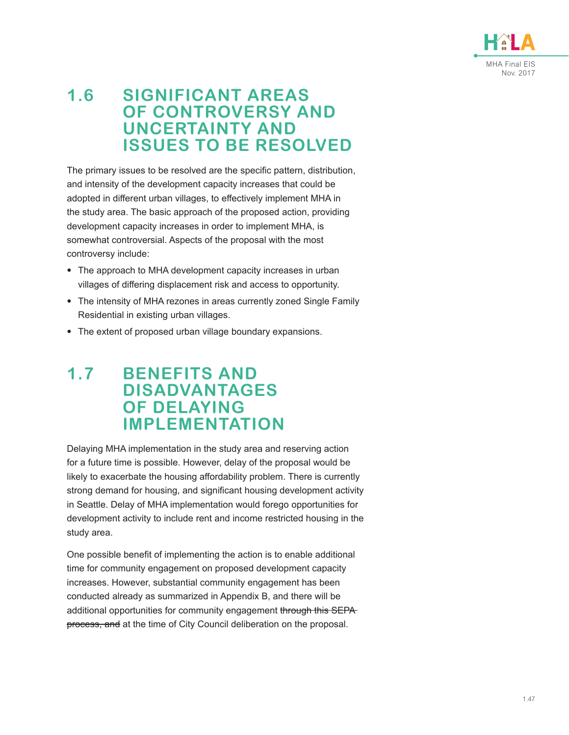![](_page_46_Picture_0.jpeg)

# **1.6 SIGNIFICANT AREAS OF CONTROVERSY AND UNCERTAINTY AND ISSUES TO BE RESOLVED**

The primary issues to be resolved are the specific pattern, distribution, and intensity of the development capacity increases that could be adopted in different urban villages, to effectively implement MHA in the study area. The basic approach of the proposed action, providing development capacity increases in order to implement MHA, is somewhat controversial. Aspects of the proposal with the most controversy include:

- The approach to MHA development capacity increases in urban villages of differing displacement risk and access to opportunity.
- The intensity of MHA rezones in areas currently zoned Single Family Residential in existing urban villages.
- The extent of proposed urban village boundary expansions.

# **1.7 BENEFITS AND DISADVANTAGES OF DELAYING IMPLEMENTATION**

Delaying MHA implementation in the study area and reserving action for a future time is possible. However, delay of the proposal would be likely to exacerbate the housing affordability problem. There is currently strong demand for housing, and significant housing development activity in Seattle. Delay of MHA implementation would forego opportunities for development activity to include rent and income restricted housing in the study area.

One possible benefit of implementing the action is to enable additional time for community engagement on proposed development capacity increases. However, substantial community engagement has been conducted already as summarized in Appendix B, and there will be additional opportunities for community engagement through this SEPA process, and at the time of City Council deliberation on the proposal.